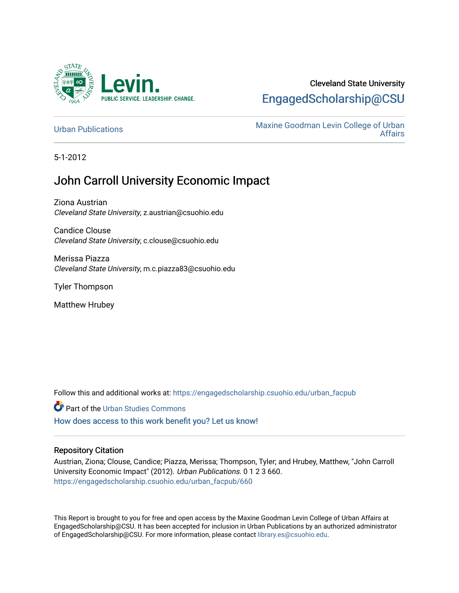

# Cleveland State University [EngagedScholarship@CSU](https://engagedscholarship.csuohio.edu/)

[Urban Publications](https://engagedscholarship.csuohio.edu/urban_facpub) Maxine Goodman Levin College of Urban [Affairs](https://engagedscholarship.csuohio.edu/urban) 

5-1-2012

# John Carroll University Economic Impact

Ziona Austrian Cleveland State University, z.austrian@csuohio.edu

Candice Clouse Cleveland State University, c.clouse@csuohio.edu

Merissa Piazza Cleveland State University, m.c.piazza83@csuohio.edu

Tyler Thompson

Matthew Hrubey

Follow this and additional works at: [https://engagedscholarship.csuohio.edu/urban\\_facpub](https://engagedscholarship.csuohio.edu/urban_facpub?utm_source=engagedscholarship.csuohio.edu%2Furban_facpub%2F660&utm_medium=PDF&utm_campaign=PDFCoverPages) 

Part of the [Urban Studies Commons](http://network.bepress.com/hgg/discipline/402?utm_source=engagedscholarship.csuohio.edu%2Furban_facpub%2F660&utm_medium=PDF&utm_campaign=PDFCoverPages) 

[How does access to this work benefit you? Let us know!](http://library.csuohio.edu/engaged/)

# Repository Citation

Austrian, Ziona; Clouse, Candice; Piazza, Merissa; Thompson, Tyler; and Hrubey, Matthew, "John Carroll University Economic Impact" (2012). Urban Publications. 0 1 2 3 660. [https://engagedscholarship.csuohio.edu/urban\\_facpub/660](https://engagedscholarship.csuohio.edu/urban_facpub/660?utm_source=engagedscholarship.csuohio.edu%2Furban_facpub%2F660&utm_medium=PDF&utm_campaign=PDFCoverPages)

This Report is brought to you for free and open access by the Maxine Goodman Levin College of Urban Affairs at EngagedScholarship@CSU. It has been accepted for inclusion in Urban Publications by an authorized administrator of EngagedScholarship@CSU. For more information, please contact [library.es@csuohio.edu.](mailto:library.es@csuohio.edu)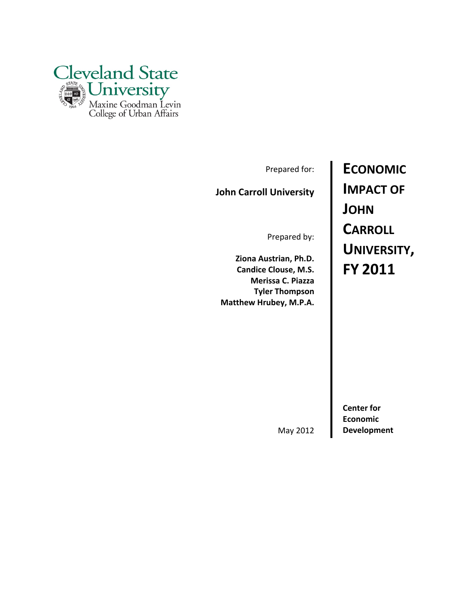

Prepared for:

# **John Carroll University**

Prepared by:

**Ziona Austrian, Ph.D. Candice Clouse, M.S. Merissa C. Piazza Tyler Thompson Matthew Hrubey, M.P.A.** **ECONOMIC IMPACT OF JOHN CARROLL UNIVERSITY, FY 2011**

**Center for Economic**

May 2012 **Development**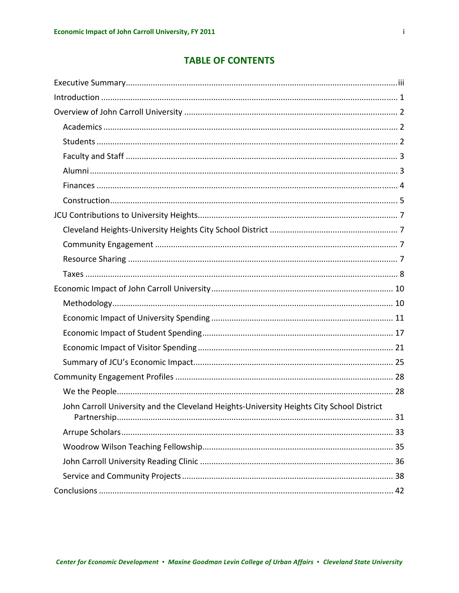# **TABLE OF CONTENTS**

| John Carroll University and the Cleveland Heights-University Heights City School District |
|-------------------------------------------------------------------------------------------|
|                                                                                           |
|                                                                                           |
|                                                                                           |
|                                                                                           |
|                                                                                           |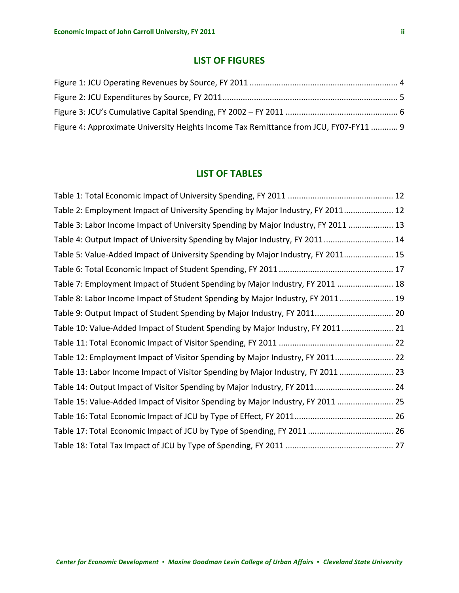# **LIST OF FIGURES**

| Figure 4: Approximate University Heights Income Tax Remittance from JCU, FY07-FY11  9 |  |
|---------------------------------------------------------------------------------------|--|

# **LIST OF TABLES**

| Table 2: Employment Impact of University Spending by Major Industry, FY 2011 12    |  |
|------------------------------------------------------------------------------------|--|
| Table 3: Labor Income Impact of University Spending by Major Industry, FY 2011  13 |  |
| Table 4: Output Impact of University Spending by Major Industry, FY 2011  14       |  |
| Table 5: Value-Added Impact of University Spending by Major Industry, FY 2011 15   |  |
|                                                                                    |  |
| Table 7: Employment Impact of Student Spending by Major Industry, FY 2011  18      |  |
| Table 8: Labor Income Impact of Student Spending by Major Industry, FY 2011  19    |  |
|                                                                                    |  |
| Table 10: Value-Added Impact of Student Spending by Major Industry, FY 2011  21    |  |
|                                                                                    |  |
| Table 12: Employment Impact of Visitor Spending by Major Industry, FY 2011 22      |  |
| Table 13: Labor Income Impact of Visitor Spending by Major Industry, FY 2011  23   |  |
| Table 14: Output Impact of Visitor Spending by Major Industry, FY 2011 24          |  |
| Table 15: Value-Added Impact of Visitor Spending by Major Industry, FY 2011  25    |  |
|                                                                                    |  |
|                                                                                    |  |
|                                                                                    |  |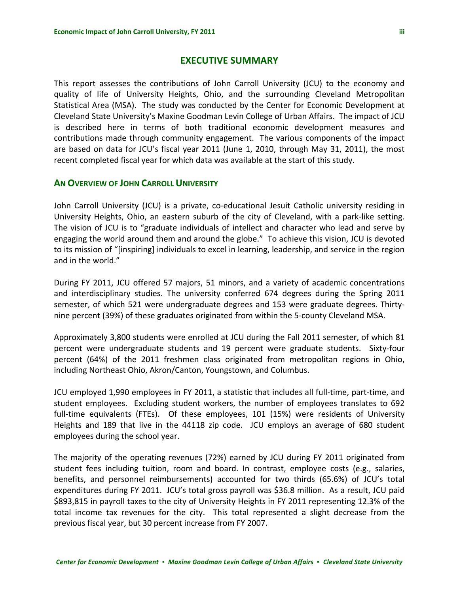# **EXECUTIVE SUMMARY**

<span id="page-4-0"></span>This report assesses the contributions of John Carroll University (JCU) to the economy and quality of life of University Heights, Ohio, and the surrounding Cleveland Metropolitan Statistical Area (MSA). The study was conducted by the Center for Economic Development at Cleveland State University's Maxine Goodman Levin College of Urban Affairs. The impact of JCU is described here in terms of both traditional economic development measures and contributions made through community engagement. The various components of the impact are based on data for JCU's fiscal year 2011 (June 1, 2010, through May 31, 2011), the most recent completed fiscal year for which data was available at the start of this study.

## **AN OVERVIEW OF JOHN CARROLL UNIVERSITY**

John Carroll University (JCU) is a private, co-educational Jesuit Catholic university residing in University Heights, Ohio, an eastern suburb of the city of Cleveland, with a park‐like setting. The vision of JCU is to "graduate individuals of intellect and character who lead and serve by engaging the world around them and around the globe." To achieve this vision, JCU is devoted to its mission of "[inspiring] individuals to excel in learning, leadership, and service in the region and in the world."

During FY 2011, JCU offered 57 majors, 51 minors, and a variety of academic concentrations and interdisciplinary studies. The university conferred 674 degrees during the Spring 2011 semester, of which 521 were undergraduate degrees and 153 were graduate degrees. Thirtynine percent (39%) of these graduates originated from within the 5‐county Cleveland MSA.

Approximately 3,800 students were enrolled at JCU during the Fall 2011 semester, of which 81 percent were undergraduate students and 19 percent were graduate students. Sixty‐four percent (64%) of the 2011 freshmen class originated from metropolitan regions in Ohio, including Northeast Ohio, Akron/Canton, Youngstown, and Columbus.

JCU employed 1,990 employees in FY 2011, a statistic that includes all full‐time, part‐time, and student employees. Excluding student workers, the number of employees translates to 692 full-time equivalents (FTEs). Of these employees, 101 (15%) were residents of University Heights and 189 that live in the 44118 zip code. JCU employs an average of 680 student employees during the school year.

The majority of the operating revenues (72%) earned by JCU during FY 2011 originated from student fees including tuition, room and board. In contrast, employee costs (e.g., salaries, benefits, and personnel reimbursements) accounted for two thirds (65.6%) of JCU's total expenditures during FY 2011. JCU's total gross payroll was \$36.8 million. As a result, JCU paid \$893,815 in payroll taxes to the city of University Heights in FY 2011 representing 12.3% of the total income tax revenues for the city. This total represented a slight decrease from the previous fiscal year, but 30 percent increase from FY 2007.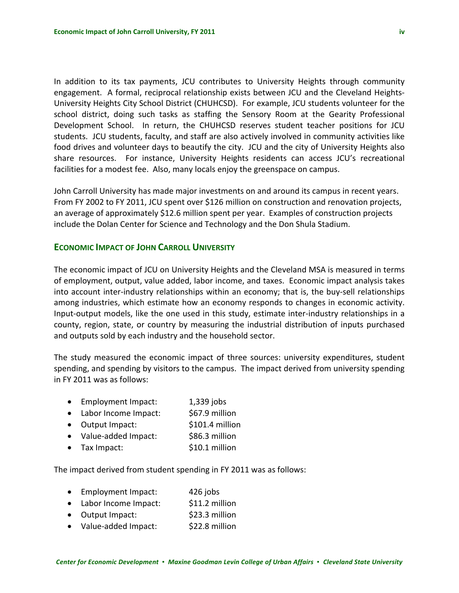In addition to its tax payments, JCU contributes to University Heights through community engagement. A formal, reciprocal relationship exists between JCU and the Cleveland Heights-University Heights City School District (CHUHCSD). For example, JCU students volunteer for the school district, doing such tasks as staffing the Sensory Room at the Gearity Professional Development School. In return, the CHUHCSD reserves student teacher positions for JCU students. JCU students, faculty, and staff are also actively involved in community activities like food drives and volunteer days to beautify the city. JCU and the city of University Heights also share resources. For instance, University Heights residents can access JCU's recreational facilities for a modest fee. Also, many locals enjoy the greenspace on campus.

John Carroll University has made major investments on and around its campus in recent years. From FY 2002 to FY 2011, JCU spent over \$126 million on construction and renovation projects, an average of approximately \$12.6 million spent per year. Examples of construction projects include the Dolan Center for Science and Technology and the Don Shula Stadium.

# **ECONOMIC IMPACT OF JOHN CARROLL UNIVERSITY**

The economic impact of JCU on University Heights and the Cleveland MSA is measured in terms of employment, output, value added, labor income, and taxes. Economic impact analysis takes into account inter‐industry relationships within an economy; that is, the buy‐sell relationships among industries, which estimate how an economy responds to changes in economic activity. Input‐output models, like the one used in this study, estimate inter‐industry relationships in a county, region, state, or country by measuring the industrial distribution of inputs purchased and outputs sold by each industry and the household sector.

The study measured the economic impact of three sources: university expenditures, student spending, and spending by visitors to the campus. The impact derived from university spending in FY 2011 was as follows:

- Employment Impact: 1,339 jobs
- Labor Income Impact:  $$67.9$  million
- Output Impact: \$101.4 million
- Value-added Impact: \$86.3 million
- Tax Impact:  $$10.1$  million

The impact derived from student spending in FY 2011 was as follows:

- Employment Impact: 426 jobs
- Labor Income Impact:  $$11.2$  million
- Output Impact:  $$23.3$  million
- Value-added Impact: \$22.8 million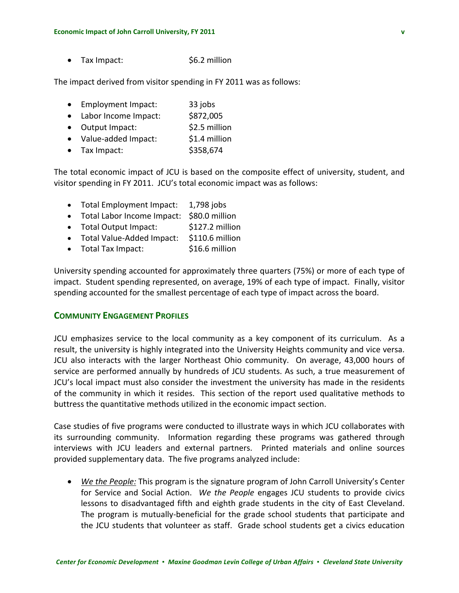$\bullet$  Tax Impact:  $\bullet$  \$6.2 million

The impact derived from visitor spending in FY 2011 was as follows:

- Employment Impact: 33 jobs
- Labor Income Impact: \$872,005
- Output Impact: \$2.5 million
- Value-added Impact: \$1.4 million
- Tax Impact: \$358,674

The total economic impact of JCU is based on the composite effect of university, student, and visitor spending in FY 2011. JCU's total economic impact was as follows:

- Total Employment Impact: 1,798 jobs
- Total Labor Income Impact: \$80.0 million
- Total Output Impact: \$127.2 million
- Total Value‐Added Impact: \$110.6 million
- Total Tax Impact: \$16.6 million

University spending accounted for approximately three quarters (75%) or more of each type of impact. Student spending represented, on average, 19% of each type of impact. Finally, visitor spending accounted for the smallest percentage of each type of impact across the board.

# **COMMUNITY ENGAGEMENT PROFILES**

JCU emphasizes service to the local community as a key component of its curriculum. As a result, the university is highly integrated into the University Heights community and vice versa. JCU also interacts with the larger Northeast Ohio community. On average, 43,000 hours of service are performed annually by hundreds of JCU students. As such, a true measurement of JCU's local impact must also consider the investment the university has made in the residents of the community in which it resides. This section of the report used qualitative methods to buttress the quantitative methods utilized in the economic impact section.

Case studies of five programs were conducted to illustrate ways in which JCU collaborates with its surrounding community. Information regarding these programs was gathered through interviews with JCU leaders and external partners. Printed materials and online sources provided supplementary data. The five programs analyzed include:

• *We the People:* This program is the signature program of John Carroll University's Center for Service and Social Action. *We the People* engages JCU students to provide civics lessons to disadvantaged fifth and eighth grade students in the city of East Cleveland. The program is mutually‐beneficial for the grade school students that participate and the JCU students that volunteer as staff. Grade school students get a civics education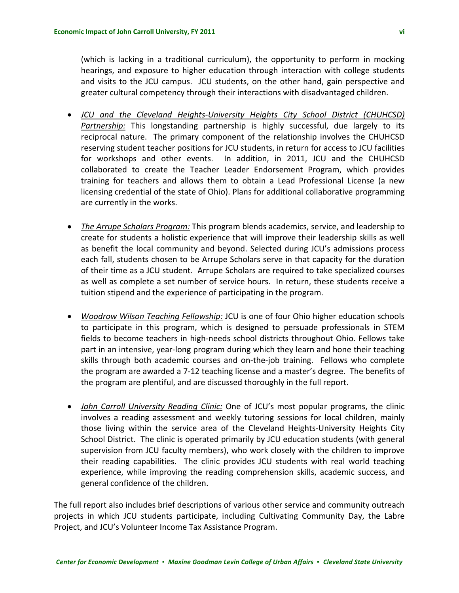(which is lacking in a traditional curriculum), the opportunity to perform in mocking hearings, and exposure to higher education through interaction with college students and visits to the JCU campus. JCU students, on the other hand, gain perspective and greater cultural competency through their interactions with disadvantaged children.

- *JCU and the Cleveland Heights‐University Heights City School District (CHUHCSD) Partnership:* This longstanding partnership is highly successful, due largely to its reciprocal nature. The primary component of the relationship involves the CHUHCSD reserving student teacher positions for JCU students, in return for access to JCU facilities for workshops and other events. In addition, in 2011, JCU and the CHUHCSD collaborated to create the Teacher Leader Endorsement Program, which provides training for teachers and allows them to obtain a Lead Professional License (a new licensing credential of the state of Ohio). Plans for additional collaborative programming are currently in the works.
- *The Arrupe Scholars Program:* This program blends academics, service, and leadership to create for students a holistic experience that will improve their leadership skills as well as benefit the local community and beyond. Selected during JCU's admissions process each fall, students chosen to be Arrupe Scholars serve in that capacity for the duration of their time as a JCU student. Arrupe Scholars are required to take specialized courses as well as complete a set number of service hours. In return, these students receive a tuition stipend and the experience of participating in the program.
- *Woodrow Wilson Teaching Fellowship:* JCU is one of four Ohio higher education schools to participate in this program, which is designed to persuade professionals in STEM fields to become teachers in high‐needs school districts throughout Ohio. Fellows take part in an intensive, year-long program during which they learn and hone their teaching skills through both academic courses and on‐the‐job training. Fellows who complete the program are awarded a 7‐12 teaching license and a master's degree. The benefits of the program are plentiful, and are discussed thoroughly in the full report.
- *John Carroll University Reading Clinic:* One of JCU's most popular programs, the clinic involves a reading assessment and weekly tutoring sessions for local children, mainly those living within the service area of the Cleveland Heights‐University Heights City School District. The clinic is operated primarily by JCU education students (with general supervision from JCU faculty members), who work closely with the children to improve their reading capabilities. The clinic provides JCU students with real world teaching experience, while improving the reading comprehension skills, academic success, and general confidence of the children.

The full report also includes brief descriptions of various other service and community outreach projects in which JCU students participate, including Cultivating Community Day, the Labre Project, and JCU's Volunteer Income Tax Assistance Program.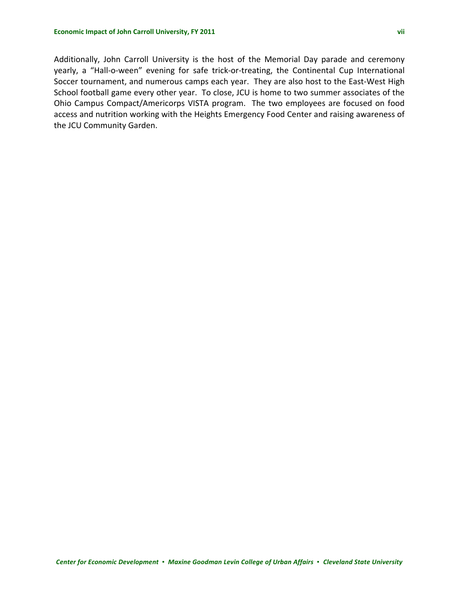Additionally, John Carroll University is the host of the Memorial Day parade and ceremony yearly, a "Hall-o-ween" evening for safe trick-or-treating, the Continental Cup International Soccer tournament, and numerous camps each year. They are also host to the East‐West High School football game every other year. To close, JCU is home to two summer associates of the Ohio Campus Compact/Americorps VISTA program. The two employees are focused on food access and nutrition working with the Heights Emergency Food Center and raising awareness of the JCU Community Garden.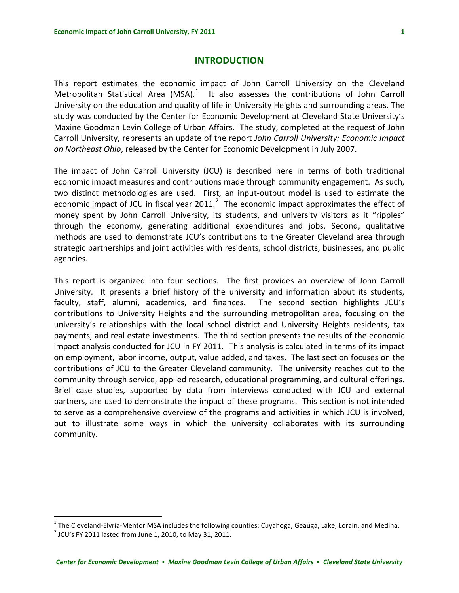# **INTRODUCTION**

<span id="page-9-0"></span>This report estimates the economic impact of John Carroll University on the Cleveland Metropolitan Statistical Area (MSA). $1$  It also assesses the contributions of John Carroll University on the education and quality of life in University Heights and surrounding areas. The study was conducted by the Center for Economic Development at Cleveland State University's Maxine Goodman Levin College of Urban Affairs. The study, completed at the request of John Carroll University, represents an update of the report *John Carroll University: Economic Impact on Northeast Ohio*, released by the Center for Economic Development in July 2007.

The impact of John Carroll University (JCU) is described here in terms of both traditional economic impact measures and contributions made through community engagement. As such, two distinct methodologies are used. First, an input‐output model is used to estimate the economic impact of JCU in fiscal year [2](#page-9-2)011.<sup>2</sup> The economic impact approximates the effect of money spent by John Carroll University, its students, and university visitors as it "ripples" through the economy, generating additional expenditures and jobs. Second, qualitative methods are used to demonstrate JCU's contributions to the Greater Cleveland area through strategic partnerships and joint activities with residents, school districts, businesses, and public agencies.

This report is organized into four sections. The first provides an overview of John Carroll University. It presents a brief history of the university and information about its students, faculty, staff, alumni, academics, and finances. The second section highlights JCU's contributions to University Heights and the surrounding metropolitan area, focusing on the university's relationships with the local school district and University Heights residents, tax payments, and real estate investments. The third section presents the results of the economic impact analysis conducted for JCU in FY 2011. This analysis is calculated in terms of its impact on employment, labor income, output, value added, and taxes. The last section focuses on the contributions of JCU to the Greater Cleveland community. The university reaches out to the community through service, applied research, educational programming, and cultural offerings. Brief case studies, supported by data from interviews conducted with JCU and external partners, are used to demonstrate the impact of these programs. This section is not intended to serve as a comprehensive overview of the programs and activities in which JCU is involved, but to illustrate some ways in which the university collaborates with its surrounding community.

 $\overline{a}$ 

<span id="page-9-1"></span><sup>&</sup>lt;sup>1</sup> The Cleveland-Elyria-Mentor MSA includes the following counties: Cuyahoga, Geauga, Lake, Lorain, and Medina.<br><sup>2</sup> JCU's FY 2011 lasted from June 1, 2010, to May 31, 2011.

<span id="page-9-2"></span>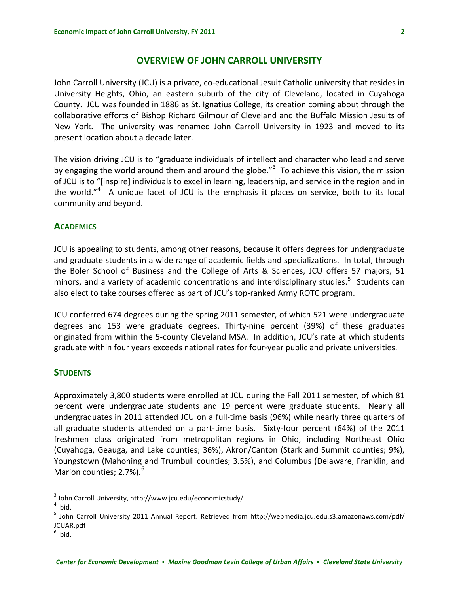# **OVERVIEW OF JOHN CARROLL UNIVERSITY**

<span id="page-10-0"></span>John Carroll University (JCU) is a private, co-educational Jesuit Catholic university that resides in University Heights, Ohio, an eastern suburb of the city of Cleveland, located in Cuyahoga County. JCU was founded in 1886 as St. Ignatius College, its creation coming about through the collaborative efforts of Bishop Richard Gilmour of Cleveland and the Buffalo Mission Jesuits of New York. The university was renamed John Carroll University in 1923 and moved to its present location about a decade later.

The vision driving JCU is to "graduate individuals of intellect and character who lead and serve by engaging the world around them and around the globe."<sup>[3](#page-10-1)</sup> To achieve this vision, the mission of JCU is to "[inspire] individuals to excel in learning, leadership, and service in the region and in the world."<sup>[4](#page-10-2)</sup> A unique facet of JCU is the emphasis it places on service, both to its local community and beyond.

#### **ACADEMICS**

JCU is appealing to students, among other reasons, because it offers degrees for undergraduate and graduate students in a wide range of academic fields and specializations. In total, through the Boler School of Business and the College of Arts & Sciences, JCU offers 57 majors, 51 minors, and a variety of academic concentrations and interdisciplinary studies.<sup>[5](#page-10-3)</sup> Students can also elect to take courses offered as part of JCU's top-ranked Army ROTC program.

JCU conferred 674 degrees during the spring 2011 semester, of which 521 were undergraduate degrees and 153 were graduate degrees. Thirty‐nine percent (39%) of these graduates originated from within the 5‐county Cleveland MSA. In addition, JCU's rate at which students graduate within four years exceeds national rates for four‐year public and private universities.

### **STUDENTS**

Approximately 3,800 students were enrolled at JCU during the Fall 2011 semester, of which 81 percent were undergraduate students and 19 percent were graduate students. Nearly all undergraduates in 2011 attended JCU on a full-time basis (96%) while nearly three quarters of all graduate students attended on a part-time basis. Sixty-four percent (64%) of the 2011 freshmen class originated from metropolitan regions in Ohio, including Northeast Ohio (Cuyahoga, Geauga, and Lake counties; 36%), Akron/Canton (Stark and Summit counties; 9%), Youngstown (Mahoning and Trumbull counties; 3.5%), and Columbus (Delaware, Franklin, and Marion counties;  $2.7\%$ ).<sup>[6](#page-10-4)</sup>

 $\overline{a}$ 

<span id="page-10-1"></span> $3$  John Carroll University, http://www.jcu.edu/economicstudy/<br> $4$  Ibid.

<span id="page-10-3"></span><span id="page-10-2"></span><sup>5</sup> John Carroll University 2011 Annual Report. Retrieved from http://webmedia.jcu.edu.s3.amazonaws.com/pdf/ JCUAR.pdf

<span id="page-10-4"></span> $<sup>6</sup>$  Ibid.</sup>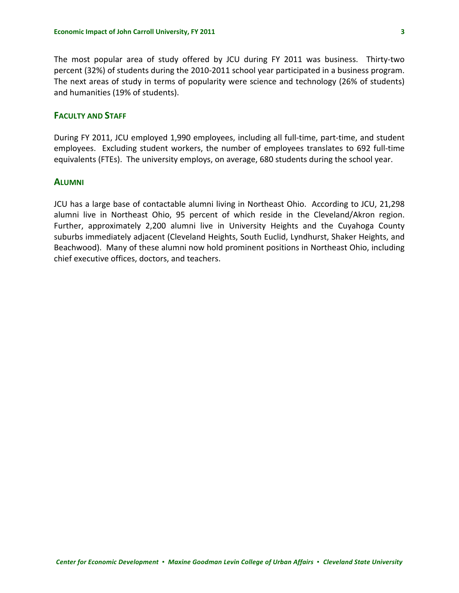<span id="page-11-0"></span>The most popular area of study offered by JCU during FY 2011 was business. Thirty‐two percent (32%) of students during the 2010‐2011 school year participated in a business program. The next areas of study in terms of popularity were science and technology (26% of students) and humanities (19% of students).

# **FACULTY AND STAFF**

During FY 2011, JCU employed 1,990 employees, including all full-time, part-time, and student employees. Excluding student workers, the number of employees translates to 692 full-time equivalents (FTEs). The university employs, on average, 680 students during the school year.

#### **ALUMNI**

JCU has a large base of contactable alumni living in Northeast Ohio. According to JCU, 21,298 alumni live in Northeast Ohio, 95 percent of which reside in the Cleveland/Akron region. Further, approximately 2,200 alumni live in University Heights and the Cuyahoga County suburbs immediately adjacent (Cleveland Heights, South Euclid, Lyndhurst, Shaker Heights, and Beachwood). Many of these alumni now hold prominent positions in Northeast Ohio, including chief executive offices, doctors, and teachers.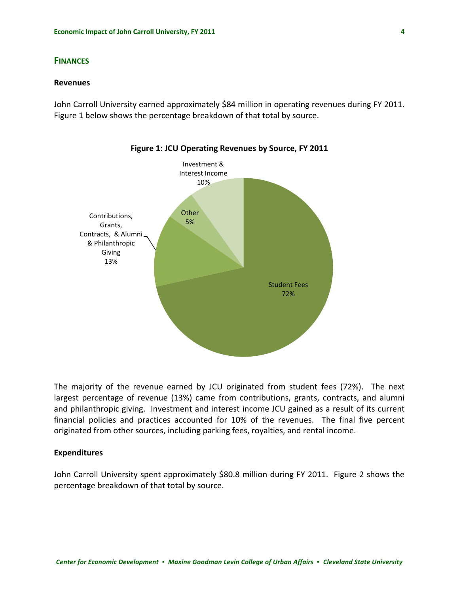## <span id="page-12-0"></span>**FINANCES**

#### **Revenues**

John Carroll University earned approximately \$84 million in operating revenues during FY 2011. Figure 1 below shows the percentage breakdown of that total by source.



The majority of the revenue earned by JCU originated from student fees (72%). The next largest percentage of revenue (13%) came from contributions, grants, contracts, and alumni and philanthropic giving. Investment and interest income JCU gained as a result of its current financial policies and practices accounted for 10% of the revenues. The final five percent originated from other sources, including parking fees, royalties, and rental income.

#### **Expenditures**

John Carroll University spent approximately \$80.8 million during FY 2011. Figure 2 shows the percentage breakdown of that total by source.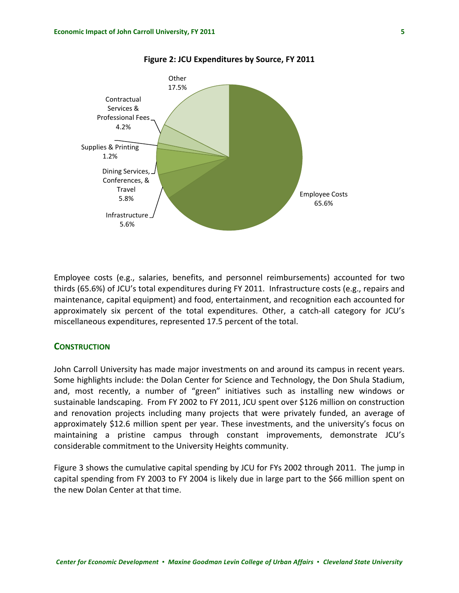<span id="page-13-0"></span>

**Figure 2: JCU Expenditures by Source, FY 2011**

Employee costs (e.g., salaries, benefits, and personnel reimbursements) accounted for two thirds (65.6%) of JCU's total expenditures during FY 2011. Infrastructure costs (e.g., repairs and maintenance, capital equipment) and food, entertainment, and recognition each accounted for approximately six percent of the total expenditures. Other, a catch-all category for JCU's miscellaneous expenditures, represented 17.5 percent of the total.

#### **CONSTRUCTION**

John Carroll University has made major investments on and around its campus in recent years. Some highlights include: the Dolan Center for Science and Technology, the Don Shula Stadium, and, most recently, a number of "green" initiatives such as installing new windows or sustainable landscaping. From FY 2002 to FY 2011, JCU spent over \$126 million on construction and renovation projects including many projects that were privately funded, an average of approximately \$12.6 million spent per year. These investments, and the university's focus on maintaining a pristine campus through constant improvements, demonstrate JCU's considerable commitment to the University Heights community.

Figure 3 shows the cumulative capital spending by JCU for FYs 2002 through 2011. The jump in capital spending from FY 2003 to FY 2004 is likely due in large part to the \$66 million spent on the new Dolan Center at that time.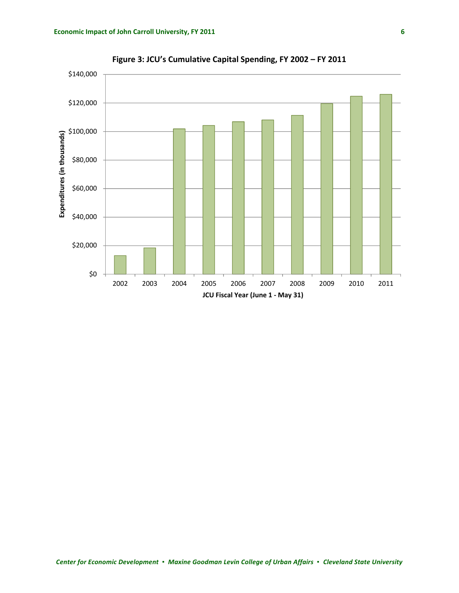<span id="page-14-0"></span>

**Figure 3: JCU's Cumulative Capital Spending, FY 2002 – FY 2011**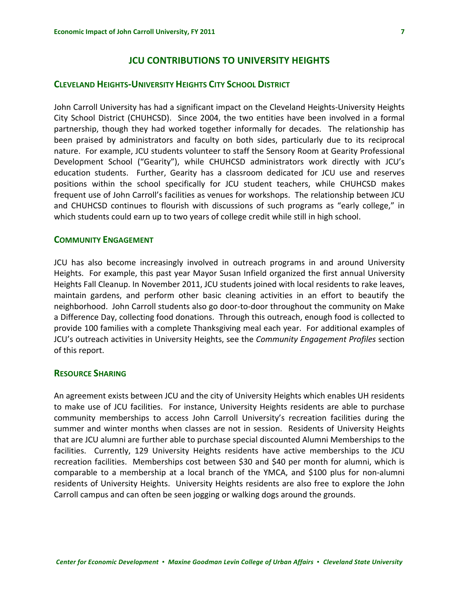# **JCU CONTRIBUTIONS TO UNIVERSITY HEIGHTS**

# <span id="page-15-0"></span>**CLEVELAND HEIGHTS‐UNIVERSITY HEIGHTS CITY SCHOOL DISTRICT**

John Carroll University has had a significant impact on the Cleveland Heights‐University Heights City School District (CHUHCSD). Since 2004, the two entities have been involved in a formal partnership, though they had worked together informally for decades. The relationship has been praised by administrators and faculty on both sides, particularly due to its reciprocal nature. For example, JCU students volunteer to staff the Sensory Room at Gearity Professional Development School ("Gearity"), while CHUHCSD administrators work directly with JCU's education students. Further, Gearity has a classroom dedicated for JCU use and reserves positions within the school specifically for JCU student teachers, while CHUHCSD makes frequent use of John Carroll's facilities as venues for workshops. The relationship between JCU and CHUHCSD continues to flourish with discussions of such programs as "early college," in which students could earn up to two years of college credit while still in high school.

# **COMMUNITY ENGAGEMENT**

JCU has also become increasingly involved in outreach programs in and around University Heights. For example, this past year Mayor Susan Infield organized the first annual University Heights Fall Cleanup. In November 2011, JCU students joined with local residents to rake leaves, maintain gardens, and perform other basic cleaning activities in an effort to beautify the neighborhood. John Carroll students also go door‐to‐door throughout the community on Make a Difference Day, collecting food donations. Through this outreach, enough food is collected to provide 100 families with a complete Thanksgiving meal each year. For additional examples of JCU's outreach activities in University Heights, see the *Community Engagement Profiles* section of this report.

#### **RESOURCE SHARING**

An agreement exists between JCU and the city of University Heights which enables UH residents to make use of JCU facilities. For instance, University Heights residents are able to purchase community memberships to access John Carroll University's recreation facilities during the summer and winter months when classes are not in session. Residents of University Heights that are JCU alumni are further able to purchase special discounted Alumni Memberships to the facilities. Currently, 129 University Heights residents have active memberships to the JCU recreation facilities. Memberships cost between \$30 and \$40 per month for alumni, which is comparable to a membership at a local branch of the YMCA, and \$100 plus for non‐alumni residents of University Heights. University Heights residents are also free to explore the John Carroll campus and can often be seen jogging or walking dogs around the grounds.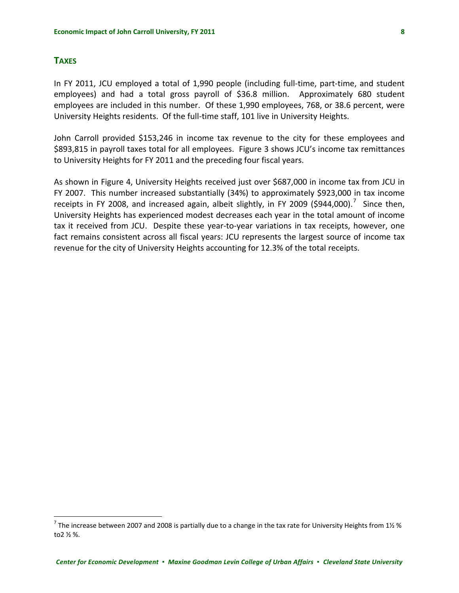## <span id="page-16-0"></span>**TAXES**

 $\overline{a}$ 

In FY 2011, JCU employed a total of 1,990 people (including full-time, part-time, and student employees) and had a total gross payroll of \$36.8 million. Approximately 680 student employees are included in this number. Of these 1,990 employees, 768, or 38.6 percent, were University Heights residents. Of the full‐time staff, 101 live in University Heights.

John Carroll provided \$153,246 in income tax revenue to the city for these employees and \$893,815 in payroll taxes total for all employees. Figure 3 shows JCU's income tax remittances to University Heights for FY 2011 and the preceding four fiscal years.

As shown in Figure 4, University Heights received just over \$687,000 in income tax from JCU in FY 2007. This number increased substantially (34%) to approximately \$923,000 in tax income receipts in FY 2008, and increased again, albeit slightly, in FY 2009 (\$944,000).<sup>[7](#page-16-1)</sup> Since then, University Heights has experienced modest decreases each year in the total amount of income tax it received from JCU. Despite these year-to-year variations in tax receipts, however, one fact remains consistent across all fiscal years: JCU represents the largest source of income tax revenue for the city of University Heights accounting for 12.3% of the total receipts.

<span id="page-16-1"></span><sup>&</sup>lt;sup>7</sup> The increase between 2007 and 2008 is partially due to a change in the tax rate for University Heights from 1½ % to2 ½ %.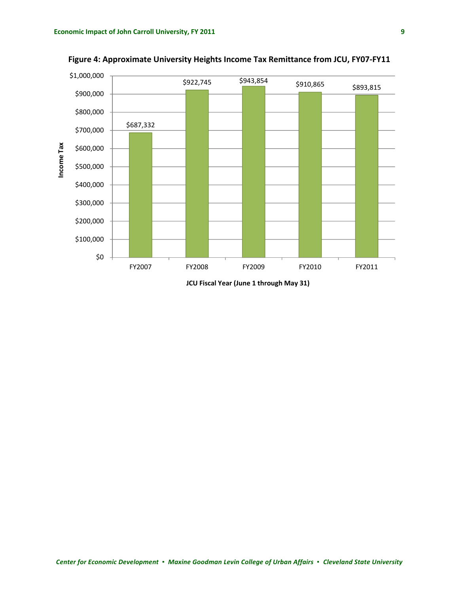<span id="page-17-0"></span>

**Figure 4: Approximate University Heights Income Tax Remittance from JCU, FY07‐FY11**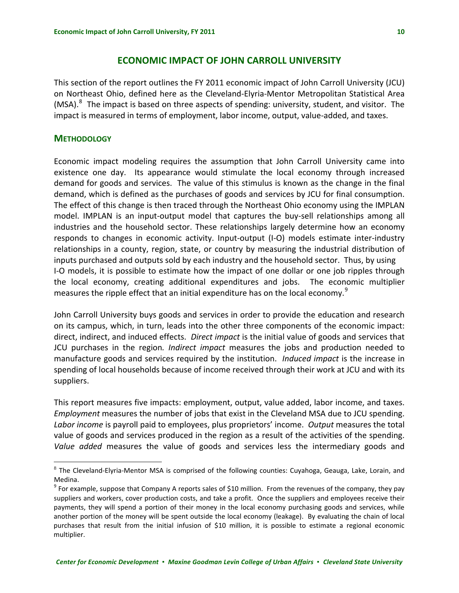# **ECONOMIC IMPACT OF JOHN CARROLL UNIVERSITY**

<span id="page-18-0"></span>This section of the report outlines the FY 2011 economic impact of John Carroll University (JCU) on Northeast Ohio, defined here as the Cleveland‐Elyria‐Mentor Metropolitan Statistical Area (MSA).<sup>[8](#page-18-1)</sup> The impact is based on three aspects of spending: university, student, and visitor. The impact is measured in terms of employment, labor income, output, value‐added, and taxes.

## **METHODOLOGY**

1

Economic impact modeling requires the assumption that John Carroll University came into existence one day. Its appearance would stimulate the local economy through increased demand for goods and services. The value of this stimulus is known as the change in the final demand, which is defined as the purchases of goods and services by JCU for final consumption. The effect of this change is then traced through the Northeast Ohio economy using the IMPLAN model. IMPLAN is an input‐output model that captures the buy‐sell relationships among all industries and the household sector. These relationships largely determine how an economy responds to changes in economic activity. Input‐output (I‐O) models estimate inter‐industry relationships in a county, region, state, or country by measuring the industrial distribution of inputs purchased and outputs sold by each industry and the household sector. Thus, by using I-O models, it is possible to estimate how the impact of one dollar or one job ripples through the local economy, creating additional expenditures and jobs. The economic multiplier measures the ripple effect that an initial expenditure has on the local economy.<sup>[9](#page-18-2)</sup>

John Carroll University buys goods and services in order to provide the education and research on its campus, which, in turn, leads into the other three components of the economic impact: direct, indirect, and induced effects. *Direct impact* is the initial value of goods and services that JCU purchases in the region*. Indirect impact* measures the jobs and production needed to manufacture goods and services required by the institution. *Induced impact* is the increase in spending of local households because of income received through their work at JCU and with its suppliers.

This report measures five impacts: employment, output, value added, labor income, and taxes. *Employment* measures the number of jobs that exist in the Cleveland MSA due to JCU spending. *Labor income* is payroll paid to employees, plus proprietors' income. *Output* measures the total value of goods and services produced in the region as a result of the activities of the spending. *Value added* measures the value of goods and services less the intermediary goods and

<span id="page-18-1"></span><sup>8</sup> The Cleveland-Elvria-Mentor MSA is comprised of the following counties: Cuyahoga, Geauga, Lake, Lorain, and Medina.<br><sup>9</sup> For example, suppose that Company A reports sales of \$10 million. From the revenues of the company, they pay

<span id="page-18-2"></span>suppliers and workers, cover production costs, and take a profit. Once the suppliers and employees receive their payments, they will spend a portion of their money in the local economy purchasing goods and services, while another portion of the money will be spent outside the local economy (leakage). By evaluating the chain of local purchases that result from the initial infusion of \$10 million, it is possible to estimate a regional economic multiplier.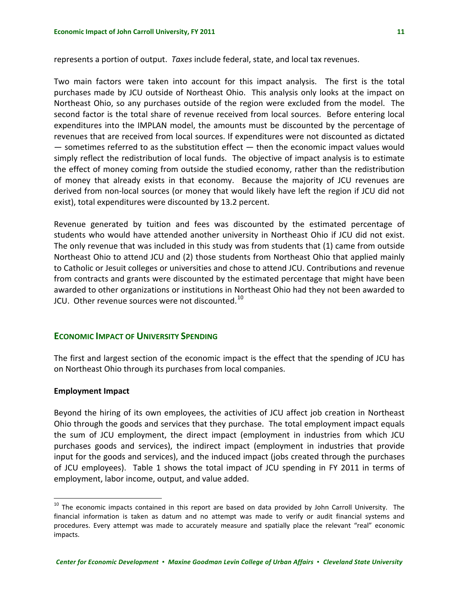<span id="page-19-0"></span>represents a portion of output. *Taxes* include federal, state, and local tax revenues.

Two main factors were taken into account for this impact analysis. The first is the total purchases made by JCU outside of Northeast Ohio. This analysis only looks at the impact on Northeast Ohio, so any purchases outside of the region were excluded from the model. The second factor is the total share of revenue received from local sources. Before entering local expenditures into the IMPLAN model, the amounts must be discounted by the percentage of revenues that are received from local sources. If expenditures were not discounted as dictated  $-$  sometimes referred to as the substitution effect  $-$  then the economic impact values would simply reflect the redistribution of local funds. The objective of impact analysis is to estimate the effect of money coming from outside the studied economy, rather than the redistribution of money that already exists in that economy. Because the majority of JCU revenues are derived from non‐local sources (or money that would likely have left the region if JCU did not exist), total expenditures were discounted by 13.2 percent.

Revenue generated by tuition and fees was discounted by the estimated percentage of students who would have attended another university in Northeast Ohio if JCU did not exist. The only revenue that was included in this study was from students that (1) came from outside Northeast Ohio to attend JCU and (2) those students from Northeast Ohio that applied mainly to Catholic or Jesuit colleges or universities and chose to attend JCU. Contributions and revenue from contracts and grants were discounted by the estimated percentage that might have been awarded to other organizations or institutions in Northeast Ohio had they not been awarded to JCU. Other revenue sources were not discounted. $^{10}$  $^{10}$  $^{10}$ 

## **ECONOMIC IMPACT OF UNIVERSITY SPENDING**

The first and largest section of the economic impact is the effect that the spending of JCU has on Northeast Ohio through its purchases from local companies.

#### **Employment Impact**

 $\overline{a}$ 

Beyond the hiring of its own employees, the activities of JCU affect job creation in Northeast Ohio through the goods and services that they purchase. The total employment impact equals the sum of JCU employment, the direct impact (employment in industries from which JCU purchases goods and services), the indirect impact (employment in industries that provide input for the goods and services), and the induced impact (jobs created through the purchases of JCU employees). Table 1 shows the total impact of JCU spending in FY 2011 in terms of employment, labor income, output, and value added.

<span id="page-19-1"></span><sup>&</sup>lt;sup>10</sup> The economic impacts contained in this report are based on data provided by John Carroll University. The financial information is taken as datum and no attempt was made to verify or audit financial systems and procedures. Every attempt was made to accurately measure and spatially place the relevant "real" economic impacts.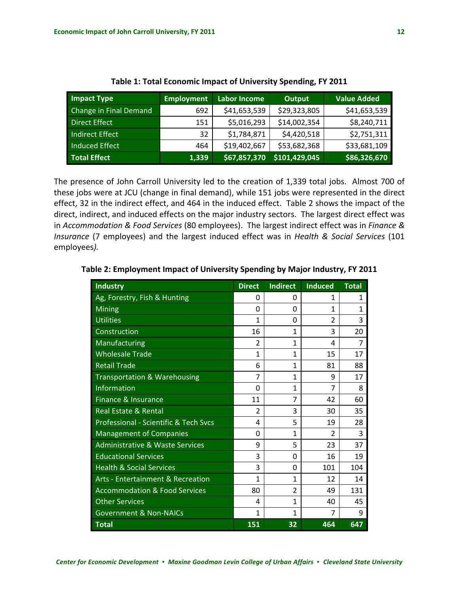<span id="page-20-0"></span>

| <b>Impact Type</b>     | <b>Employment</b> | <b>Labor Income</b> | Output        | <b>Value Added</b> |
|------------------------|-------------------|---------------------|---------------|--------------------|
| Change in Final Demand | 692               | \$41,653,539        | \$29,323,805  | \$41,653,539       |
| Direct Effect          | 151               | \$5,016,293         | \$14,002,354  | \$8,240,711        |
| <b>Indirect Effect</b> | 32                | \$1,784,871         | \$4,420,518   | \$2,751,311        |
| Induced Effect         | 464               | \$19,402,667        | \$53,682,368  | \$33,681,109       |
| <b>Total Effect</b>    | 1,339             | \$67,857,370        | \$101,429,045 | \$86,326,670       |

**Table 1: Total Economic Impact of University Spending, FY 2011**

The presence of John Carroll University led to the creation of 1,339 total jobs. Almost 700 of these jobs were at JCU (change in final demand), while 151 jobs were represented in the direct effect, 32 in the indirect effect, and 464 in the induced effect. Table 2 shows the impact of the direct, indirect, and induced effects on the major industry sectors. The largest direct effect was in *Accommodation & Food Services* (80 employees). The largest indirect effect was in *Finance & Insurance* (7 employees) and the largest induced effect was in *Health & Social Services* (101 employees*).*

| <b>Industry</b>                              | <b>Direct</b>  | <b>Indirect</b> | <b>Induced</b> | <b>Total</b> |
|----------------------------------------------|----------------|-----------------|----------------|--------------|
| Ag, Forestry, Fish & Hunting                 | 0              | 0               | 1              | 1            |
| <b>Mining</b>                                | 0              | 0               | 1              | 1            |
| <b>Utilities</b>                             | 1              | 0               | $\overline{2}$ | 3            |
| Construction                                 | 16             | 1               | 3              | 20           |
| Manufacturing                                | $\overline{2}$ | 1               | 4              | 7            |
| <b>Wholesale Trade</b>                       | 1              | 1               | 15             | 17           |
| <b>Retail Trade</b>                          | 6              | 1               | 81             | 88           |
| <b>Transportation &amp; Warehousing</b>      | 7              | 1               | 9              | 17           |
| Information                                  | 0              | $\mathbf{1}$    | 7              | 8            |
| Finance & Insurance                          | 11             | 7               | 42             | 60           |
| <b>Real Estate &amp; Rental</b>              | $\overline{2}$ | 3               | 30             | 35           |
| Professional - Scientific & Tech Svcs        | 4              | 5               | 19             | 28           |
| <b>Management of Companies</b>               | 0              | 1               | $\overline{2}$ | 3            |
| <b>Administrative &amp; Waste Services</b>   | 9              | 5               | 23             | 37           |
| <b>Educational Services</b>                  | 3              | 0               | 16             | 19           |
| <b>Health &amp; Social Services</b>          | 3              | 0               | 101            | 104          |
| <b>Arts - Entertainment &amp; Recreation</b> | 1              | 1               | 12             | 14           |
| <b>Accommodation &amp; Food Services</b>     | 80             | $\overline{2}$  | 49             | 131          |
| <b>Other Services</b>                        | 4              | $\mathbf{1}$    | 40             | 45           |
| <b>Government &amp; Non-NAICs</b>            | $\mathbf{1}$   | 1               | 7              | 9            |
| <b>Total</b>                                 | 151            | 32              | 464            | 647          |

**Table 2: Employment Impact of University Spending by Major Industry, FY 2011**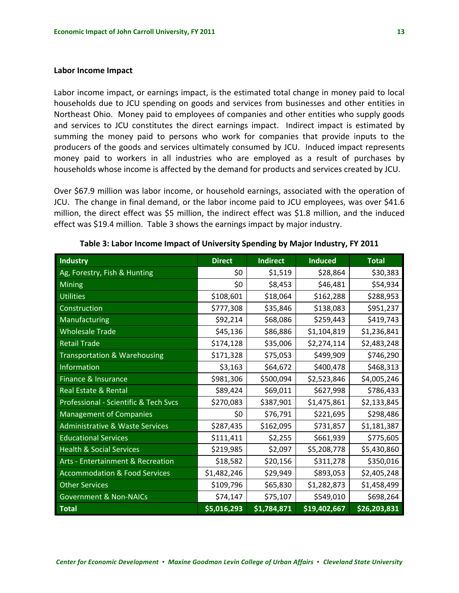#### <span id="page-21-0"></span>**Labor Income Impact**

Labor income impact, or earnings impact, is the estimated total change in money paid to local households due to JCU spending on goods and services from businesses and other entities in Northeast Ohio. Money paid to employees of companies and other entities who supply goods and services to JCU constitutes the direct earnings impact. Indirect impact is estimated by summing the money paid to persons who work for companies that provide inputs to the producers of the goods and services ultimately consumed by JCU. Induced impact represents money paid to workers in all industries who are employed as a result of purchases by households whose income is affected by the demand for products and services created by JCU.

Over \$67.9 million was labor income, or household earnings, associated with the operation of JCU. The change in final demand, or the labor income paid to JCU employees, was over \$41.6 million, the direct effect was \$5 million, the indirect effect was \$1.8 million, and the induced effect was \$19.4 million. Table 3 shows the earnings impact by major industry.

| <b>Industry</b>                            | <b>Direct</b> | <b>Indirect</b> | <b>Induced</b> | <b>Total</b> |
|--------------------------------------------|---------------|-----------------|----------------|--------------|
| Ag, Forestry, Fish & Hunting               | \$0           | \$1,519         | \$28,864       | \$30,383     |
| Mining                                     | \$0           | \$8,453         | \$46,481       | \$54,934     |
| <b>Utilities</b>                           | \$108,601     | \$18,064        | \$162,288      | \$288,953    |
| Construction                               | \$777,308     | \$35,846        | \$138,083      | \$951,237    |
| Manufacturing                              | \$92,214      | \$68,086        | \$259,443      | \$419,743    |
| <b>Wholesale Trade</b>                     | \$45,136      | \$86,886        | \$1,104,819    | \$1,236,841  |
| <b>Retail Trade</b>                        | \$174,128     | \$35,006        | \$2,274,114    | \$2,483,248  |
| <b>Transportation &amp; Warehousing</b>    | \$171,328     | \$75,053        | \$499,909      | \$746,290    |
| Information                                | \$3,163       | \$64,672        | \$400,478      | \$468,313    |
| Finance & Insurance                        | \$981,306     | \$500,094       | \$2,523,846    | \$4,005,246  |
| <b>Real Estate &amp; Rental</b>            | \$89,424      | \$69,011        | \$627,998      | \$786,433    |
| Professional - Scientific & Tech Svcs      | \$270,083     | \$387,901       | \$1,475,861    | \$2,133,845  |
| <b>Management of Companies</b>             | \$0           | \$76,791        | \$221,695      | \$298,486    |
| <b>Administrative &amp; Waste Services</b> | \$287,435     | \$162,095       | \$731,857      | \$1,181,387  |
| <b>Educational Services</b>                | \$111,411     | \$2,255         | \$661,939      | \$775,605    |
| <b>Health &amp; Social Services</b>        | \$219,985     | \$2,097         | \$5,208,778    | \$5,430,860  |
| Arts - Entertainment & Recreation          | \$18,582      | \$20,156        | \$311,278      | \$350,016    |
| <b>Accommodation &amp; Food Services</b>   | \$1,482,246   | \$29,949        | \$893,053      | \$2,405,248  |
| <b>Other Services</b>                      | \$109,796     | \$65,830        | \$1,282,873    | \$1,458,499  |
| <b>Government &amp; Non-NAICs</b>          | \$74,147      | \$75,107        | \$549,010      | \$698,264    |
| <b>Total</b>                               | \$5,016,293   | \$1,784,871     | \$19,402,667   | \$26,203,831 |

**Table 3: Labor Income Impact of University Spending by Major Industry, FY 2011**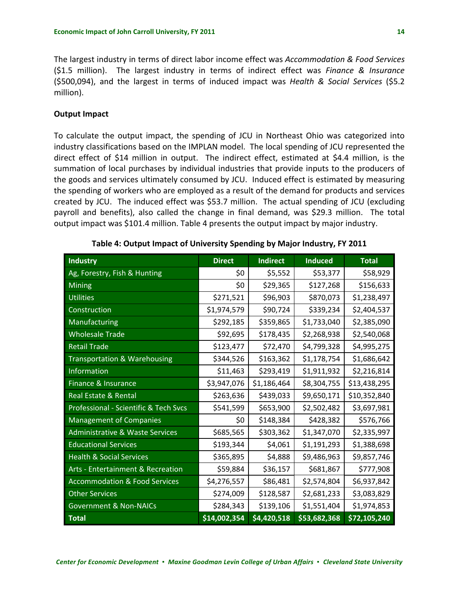<span id="page-22-0"></span>The largest industry in terms of direct labor income effect was *Accommodation & Food Services* (\$1.5 million). The largest industry in terms of indirect effect was *Finance & Insurance* (\$500,094), and the largest in terms of induced impact was *Health & Social Services* (\$5.2 million).

#### **Output Impact**

To calculate the output impact, the spending of JCU in Northeast Ohio was categorized into industry classifications based on the IMPLAN model. The local spending of JCU represented the direct effect of \$14 million in output. The indirect effect, estimated at \$4.4 million, is the summation of local purchases by individual industries that provide inputs to the producers of the goods and services ultimately consumed by JCU. Induced effect is estimated by measuring the spending of workers who are employed as a result of the demand for products and services created by JCU. The induced effect was \$53.7 million. The actual spending of JCU (excluding payroll and benefits), also called the change in final demand, was \$29.3 million. The total output impact was \$101.4 million. Table 4 presents the output impact by major industry.

| <b>Industry</b>                            | <b>Direct</b> | <b>Indirect</b> | <b>Induced</b> | <b>Total</b> |
|--------------------------------------------|---------------|-----------------|----------------|--------------|
| Ag, Forestry, Fish & Hunting               | \$0           | \$5,552         | \$53,377       | \$58,929     |
| <b>Mining</b>                              | \$0           | \$29,365        | \$127,268      | \$156,633    |
| <b>Utilities</b>                           | \$271,521     | \$96,903        | \$870,073      | \$1,238,497  |
| Construction                               | \$1,974,579   | \$90,724        | \$339,234      | \$2,404,537  |
| Manufacturing                              | \$292,185     | \$359,865       | \$1,733,040    | \$2,385,090  |
| <b>Wholesale Trade</b>                     | \$92,695      | \$178,435       | \$2,268,938    | \$2,540,068  |
| <b>Retail Trade</b>                        | \$123,477     | \$72,470        | \$4,799,328    | \$4,995,275  |
| Transportation & Warehousing               | \$344,526     | \$163,362       | \$1,178,754    | \$1,686,642  |
| Information                                | \$11,463      | \$293,419       | \$1,911,932    | \$2,216,814  |
| Finance & Insurance                        | \$3,947,076   | \$1,186,464     | \$8,304,755    | \$13,438,295 |
| Real Estate & Rental                       | \$263,636     | \$439,033       | \$9,650,171    | \$10,352,840 |
| Professional - Scientific & Tech Svcs      | \$541,599     | \$653,900       | \$2,502,482    | \$3,697,981  |
| <b>Management of Companies</b>             | \$0           | \$148,384       | \$428,382      | \$576,766    |
| <b>Administrative &amp; Waste Services</b> | \$685,565     | \$303,362       | \$1,347,070    | \$2,335,997  |
| <b>Educational Services</b>                | \$193,344     | \$4,061         | \$1,191,293    | \$1,388,698  |
| <b>Health &amp; Social Services</b>        | \$365,895     | \$4,888         | \$9,486,963    | \$9,857,746  |
| Arts - Entertainment & Recreation          | \$59,884      | \$36,157        | \$681,867      | \$777,908    |
| <b>Accommodation &amp; Food Services</b>   | \$4,276,557   | \$86,481        | \$2,574,804    | \$6,937,842  |
| <b>Other Services</b>                      | \$274,009     | \$128,587       | \$2,681,233    | \$3,083,829  |
| <b>Government &amp; Non-NAICs</b>          | \$284,343     | \$139,106       | \$1,551,404    | \$1,974,853  |
| <b>Total</b>                               | \$14,002,354  | \$4,420,518     | \$53,682,368   | \$72,105,240 |

**Table 4: Output Impact of University Spending by Major Industry, FY 2011**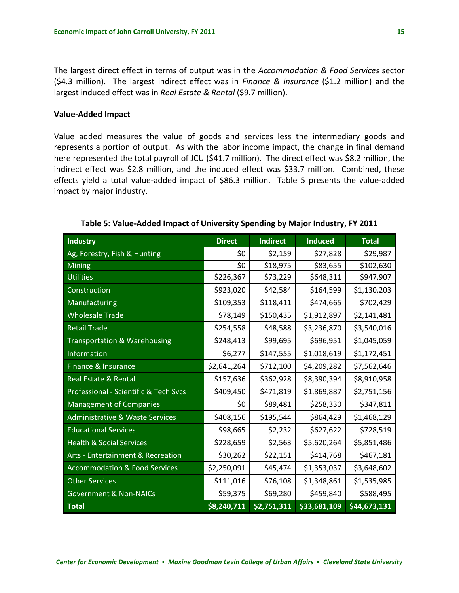<span id="page-23-0"></span>The largest direct effect in terms of output was in the *Accommodation & Food Services* sector (\$4.3 million). The largest indirect effect was in *Finance & Insurance* (\$1.2 million) and the largest induced effect was in *Real Estate & Rental* (\$9.7 million).

#### **Value‐Added Impact**

Value added measures the value of goods and services less the intermediary goods and represents a portion of output. As with the labor income impact, the change in final demand here represented the total payroll of JCU (\$41.7 million). The direct effect was \$8.2 million, the indirect effect was \$2.8 million, and the induced effect was \$33.7 million. Combined, these effects yield a total value-added impact of \$86.3 million. Table 5 presents the value-added impact by major industry.

| <b>Industry</b>                            | <b>Direct</b> | <b>Indirect</b> | <b>Induced</b> | <b>Total</b> |
|--------------------------------------------|---------------|-----------------|----------------|--------------|
| Ag, Forestry, Fish & Hunting               | \$0           | \$2,159         | \$27,828       | \$29,987     |
| Mining                                     | \$0           | \$18,975        | \$83,655       | \$102,630    |
| <b>Utilities</b>                           | \$226,367     | \$73,229        | \$648,311      | \$947,907    |
| Construction                               | \$923,020     | \$42,584        | \$164,599      | \$1,130,203  |
| Manufacturing                              | \$109,353     | \$118,411       | \$474,665      | \$702,429    |
| <b>Wholesale Trade</b>                     | \$78,149      | \$150,435       | \$1,912,897    | \$2,141,481  |
| <b>Retail Trade</b>                        | \$254,558     | \$48,588        | \$3,236,870    | \$3,540,016  |
| <b>Transportation &amp; Warehousing</b>    | \$248,413     | \$99,695        | \$696,951      | \$1,045,059  |
| <b>Information</b>                         | \$6,277       | \$147,555       | \$1,018,619    | \$1,172,451  |
| Finance & Insurance                        | \$2,641,264   | \$712,100       | \$4,209,282    | \$7,562,646  |
| <b>Real Estate &amp; Rental</b>            | \$157,636     | \$362,928       | \$8,390,394    | \$8,910,958  |
| Professional - Scientific & Tech Svcs      | \$409,450     | \$471,819       | \$1,869,887    | \$2,751,156  |
| <b>Management of Companies</b>             | \$0           | \$89,481        | \$258,330      | \$347,811    |
| <b>Administrative &amp; Waste Services</b> | \$408,156     | \$195,544       | \$864,429      | \$1,468,129  |
| <b>Educational Services</b>                | \$98,665      | \$2,232         | \$627,622      | \$728,519    |
| <b>Health &amp; Social Services</b>        | \$228,659     | \$2,563         | \$5,620,264    | \$5,851,486  |
| Arts - Entertainment & Recreation          | \$30,262      | \$22,151        | \$414,768      | \$467,181    |
| <b>Accommodation &amp; Food Services</b>   | \$2,250,091   | \$45,474        | \$1,353,037    | \$3,648,602  |
| <b>Other Services</b>                      | \$111,016     | \$76,108        | \$1,348,861    | \$1,535,985  |
| <b>Government &amp; Non-NAICs</b>          | \$59,375      | \$69,280        | \$459,840      | \$588,495    |
| <b>Total</b>                               | \$8,240,711   | \$2,751,311     | \$33,681,109   | \$44,673,131 |

**Table 5: Value‐Added Impact of University Spending by Major Industry, FY 2011**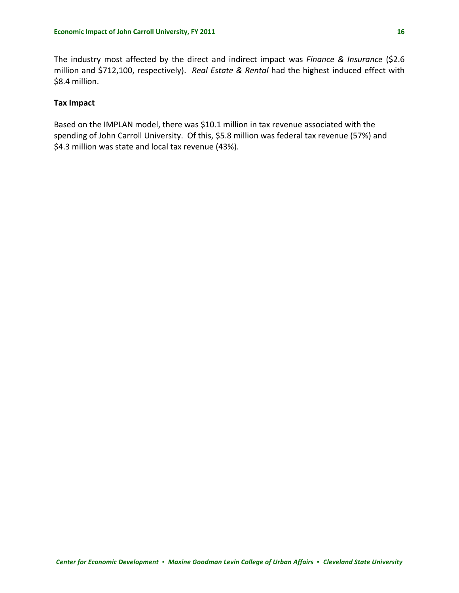The industry most affected by the direct and indirect impact was *Finance & Insurance* (\$2.6 million and \$712,100, respectively). *Real Estate & Rental* had the highest induced effect with \$8.4 million.

# **Tax Impact**

Based on the IMPLAN model, there was \$10.1 million in tax revenue associated with the spending of John Carroll University. Of this, \$5.8 million was federal tax revenue (57%) and \$4.3 million was state and local tax revenue (43%).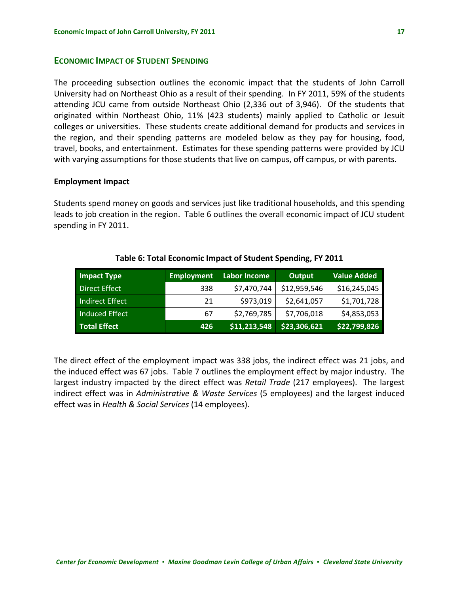# <span id="page-25-0"></span>**ECONOMIC IMPACT OF STUDENT SPENDING**

The proceeding subsection outlines the economic impact that the students of John Carroll University had on Northeast Ohio as a result of their spending. In FY 2011, 59% of the students attending JCU came from outside Northeast Ohio (2,336 out of 3,946). Of the students that originated within Northeast Ohio, 11% (423 students) mainly applied to Catholic or Jesuit colleges or universities. These students create additional demand for products and services in the region, and their spending patterns are modeled below as they pay for housing, food, travel, books, and entertainment. Estimates for these spending patterns were provided by JCU with varying assumptions for those students that live on campus, off campus, or with parents.

#### **Employment Impact**

Students spend money on goods and services just like traditional households, and this spending leads to job creation in the region. Table 6 outlines the overall economic impact of JCU student spending in FY 2011.

| <b>Impact Type</b>  | <b>Employment</b> | <b>Labor Income</b> | Output       | <b>Value Added</b> |
|---------------------|-------------------|---------------------|--------------|--------------------|
| Direct Effect       | 338               | \$7,470,744         | \$12,959,546 | \$16,245,045       |
| Indirect Effect     | 21                | \$973,019           | \$2,641,057  | \$1,701,728        |
| Induced Effect      | 67                | \$2,769,785         | \$7,706,018  | \$4,853,053        |
| <b>Total Effect</b> | 426               | \$11,213,548        | \$23,306,621 | \$22,799,826       |

#### **Table 6: Total Economic Impact of Student Spending, FY 2011**

The direct effect of the employment impact was 338 jobs, the indirect effect was 21 jobs, and the induced effect was 67 jobs. Table 7 outlines the employment effect by major industry. The largest industry impacted by the direct effect was *Retail Trade* (217 employees). The largest indirect effect was in *Administrative & Waste Services* (5 employees) and the largest induced effect was in *Health & Social Services* (14 employees).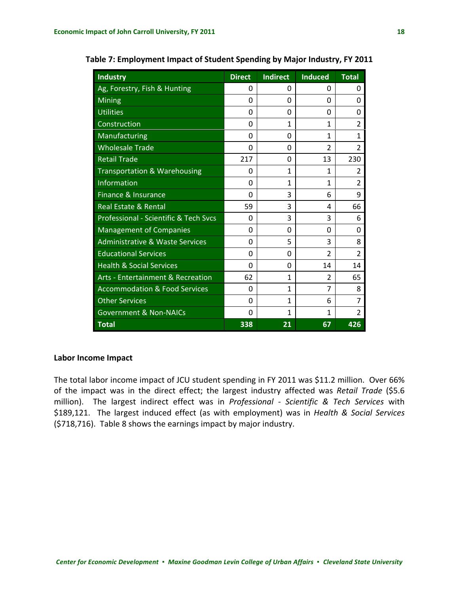| <b>Industry</b>                              | <b>Direct</b> | <b>Indirect</b> | <b>Induced</b> | <b>Total</b>   |
|----------------------------------------------|---------------|-----------------|----------------|----------------|
| Ag, Forestry, Fish & Hunting                 | 0             | 0               | 0              | 0              |
| <b>Mining</b>                                | $\Omega$      | 0               | 0              | $\Omega$       |
| <b>Utilities</b>                             | 0             | 0               | 0              | 0              |
| Construction                                 | 0             | $\mathbf{1}$    | 1              | $\overline{2}$ |
| Manufacturing                                | 0             | 0               | 1              | 1              |
| <b>Wholesale Trade</b>                       | $\Omega$      | 0               | $\overline{2}$ | $\overline{2}$ |
| <b>Retail Trade</b>                          | 217           | 0               | 13             | 230            |
| Transportation & Warehousing                 | 0             | 1               | 1              | 2              |
| <b>Information</b>                           | 0             | 1               | 1              | $\overline{2}$ |
| <b>Finance &amp; Insurance</b>               | $\Omega$      | 3               | 6              | 9              |
| <b>Real Estate &amp; Rental</b>              | 59            | 3               | 4              | 66             |
| Professional - Scientific & Tech Svcs        | 0             | 3               | 3              | 6              |
| <b>Management of Companies</b>               | $\Omega$      | 0               | $\Omega$       | $\Omega$       |
| <b>Administrative &amp; Waste Services</b>   | 0             | 5               | 3              | 8              |
| <b>Educational Services</b>                  | 0             | 0               | $\overline{2}$ | $\overline{2}$ |
| <b>Health &amp; Social Services</b>          | $\Omega$      | 0               | 14             | 14             |
| <b>Arts - Entertainment &amp; Recreation</b> | 62            | 1               | $\overline{2}$ | 65             |
| <b>Accommodation &amp; Food Services</b>     | 0             | $\mathbf{1}$    | 7              | 8              |
| <b>Other Services</b>                        | $\Omega$      | 1               | 6              | 7              |
| <b>Government &amp; Non-NAICs</b>            | 0             | 1               | 1              | 2              |
| <b>Total</b>                                 | 338           | 21              | 67             | 426            |

<span id="page-26-0"></span>**Table 7: Employment Impact of Student Spending by Major Industry, FY 2011**

# **Labor Income Impact**

The total labor income impact of JCU student spending in FY 2011 was \$11.2 million. Over 66% of the impact was in the direct effect; the largest industry affected was *Retail Trade* (\$5.6 million). The largest indirect effect was in *Professional ‐ Scientific & Tech Services* with \$189,121. The largest induced effect (as with employment) was in *Health & Social Services* (\$718,716). Table 8 shows the earnings impact by major industry.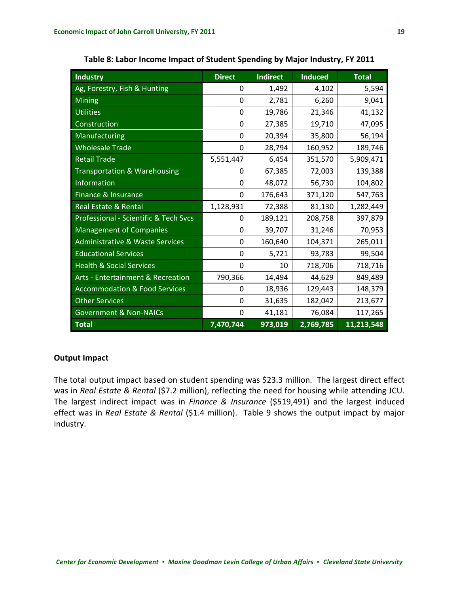<span id="page-27-0"></span>

| <b>Industry</b>                              | <b>Direct</b> | <b>Indirect</b> | <b>Induced</b> | <b>Total</b> |
|----------------------------------------------|---------------|-----------------|----------------|--------------|
| Ag, Forestry, Fish & Hunting                 | 0             | 1,492           | 4,102          | 5,594        |
| Mining                                       | 0             | 2,781           | 6,260          | 9,041        |
| <b>Utilities</b>                             | 0             | 19,786          | 21,346         | 41,132       |
| Construction                                 | $\mathbf 0$   | 27,385          | 19,710         | 47,095       |
| Manufacturing                                | 0             | 20,394          | 35,800         | 56,194       |
| <b>Wholesale Trade</b>                       | 0             | 28,794          | 160,952        | 189,746      |
| <b>Retail Trade</b>                          | 5,551,447     | 6,454           | 351,570        | 5,909,471    |
| Transportation & Warehousing                 | 0             | 67,385          | 72,003         | 139,388      |
| Information                                  | 0             | 48,072          | 56,730         | 104,802      |
| Finance & Insurance                          | 0             | 176,643         | 371,120        | 547,763      |
| Real Estate & Rental                         | 1,128,931     | 72,388          | 81,130         | 1,282,449    |
| Professional - Scientific & Tech Svcs        | 0             | 189,121         | 208,758        | 397,879      |
| <b>Management of Companies</b>               | 0             | 39,707          | 31,246         | 70,953       |
| <b>Administrative &amp; Waste Services</b>   | 0             | 160,640         | 104,371        | 265,011      |
| <b>Educational Services</b>                  | 0             | 5,721           | 93,783         | 99,504       |
| <b>Health &amp; Social Services</b>          | 0             | 10              | 718,706        | 718,716      |
| <b>Arts - Entertainment &amp; Recreation</b> | 790,366       | 14,494          | 44,629         | 849,489      |
| <b>Accommodation &amp; Food Services</b>     | 0             | 18,936          | 129,443        | 148,379      |
| <b>Other Services</b>                        | 0             | 31,635          | 182,042        | 213,677      |
| <b>Government &amp; Non-NAICs</b>            | 0             | 41,181          | 76,084         | 117,265      |
| <b>Total</b>                                 | 7,470,744     | 973,019         | 2,769,785      | 11,213,548   |

**Table 8: Labor Income Impact of Student Spending by Major Industry, FY 2011**

# **Output Impact**

The total output impact based on student spending was \$23.3 million. The largest direct effect was in *Real Estate & Rental* (\$7.2 million), reflecting the need for housing while attending JCU. The largest indirect impact was in *Finance & Insurance* (\$519,491) and the largest induced effect was in *Real Estate & Rental* (\$1.4 million). Table 9 shows the output impact by major industry.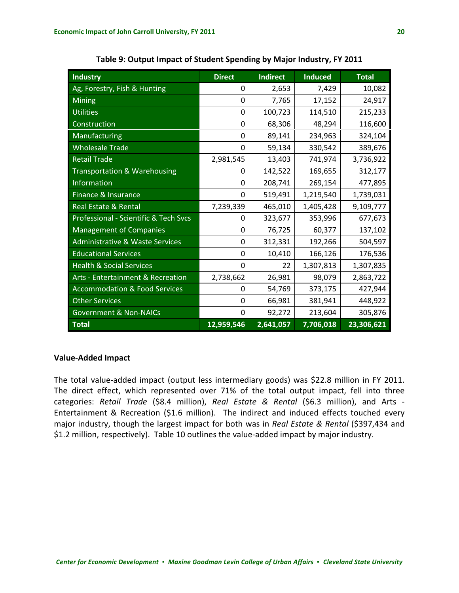<span id="page-28-0"></span>

| <b>Industry</b>                            | <b>Direct</b> | <b>Indirect</b> | <b>Induced</b> | <b>Total</b> |
|--------------------------------------------|---------------|-----------------|----------------|--------------|
| Ag, Forestry, Fish & Hunting               | 0             | 2,653           | 7,429          | 10,082       |
| <b>Mining</b>                              | $\Omega$      | 7,765           | 17,152         | 24,917       |
| <b>Utilities</b>                           | 0             | 100,723         | 114,510        | 215,233      |
| Construction                               | 0             | 68,306          | 48,294         | 116,600      |
| Manufacturing                              | 0             | 89,141          | 234,963        | 324,104      |
| <b>Wholesale Trade</b>                     | 0             | 59,134          | 330,542        | 389,676      |
| <b>Retail Trade</b>                        | 2,981,545     | 13,403          | 741,974        | 3,736,922    |
| Transportation & Warehousing               | 0             | 142,522         | 169,655        | 312,177      |
| <b>Information</b>                         | 0             | 208,741         | 269,154        | 477,895      |
| Finance & Insurance                        | 0             | 519,491         | 1,219,540      | 1,739,031    |
| Real Estate & Rental                       | 7,239,339     | 465,010         | 1,405,428      | 9,109,777    |
| Professional - Scientific & Tech Svcs      | 0             | 323,677         | 353,996        | 677,673      |
| <b>Management of Companies</b>             | $\Omega$      | 76,725          | 60,377         | 137,102      |
| <b>Administrative &amp; Waste Services</b> | $\Omega$      | 312,331         | 192,266        | 504,597      |
| <b>Educational Services</b>                | $\Omega$      | 10,410          | 166,126        | 176,536      |
| <b>Health &amp; Social Services</b>        | 0             | 22              | 1,307,813      | 1,307,835    |
| Arts - Entertainment & Recreation          | 2,738,662     | 26,981          | 98,079         | 2,863,722    |
| <b>Accommodation &amp; Food Services</b>   | 0             | 54,769          | 373,175        | 427,944      |
| <b>Other Services</b>                      | 0             | 66,981          | 381,941        | 448,922      |
| <b>Government &amp; Non-NAICs</b>          | 0             | 92,272          | 213,604        | 305,876      |
| <b>Total</b>                               | 12,959,546    | 2,641,057       | 7,706,018      | 23,306,621   |

**Table 9: Output Impact of Student Spending by Major Industry, FY 2011**

# **Value‐Added Impact**

The total value-added impact (output less intermediary goods) was \$22.8 million in FY 2011. The direct effect, which represented over 71% of the total output impact, fell into three categories: *Retail Trade* (\$8.4 million), *Real Estate & Rental* (\$6.3 million), and Arts ‐ Entertainment & Recreation (\$1.6 million). The indirect and induced effects touched every major industry, though the largest impact for both was in *Real Estate & Rental* (\$397,434 and \$1.2 million, respectively). Table 10 outlines the value‐added impact by major industry.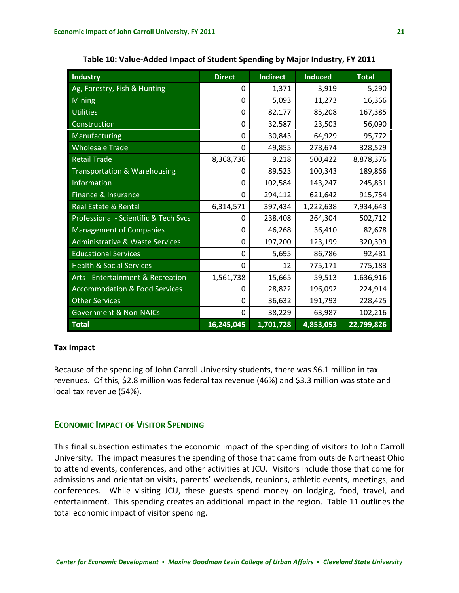<span id="page-29-0"></span>

| <b>Industry</b>                            | <b>Direct</b> | <b>Indirect</b> | <b>Induced</b> | <b>Total</b> |
|--------------------------------------------|---------------|-----------------|----------------|--------------|
| Ag, Forestry, Fish & Hunting               | 0             | 1,371           | 3,919          | 5,290        |
| <b>Mining</b>                              | 0             | 5,093           | 11,273         | 16,366       |
| <b>Utilities</b>                           | 0             | 82,177          | 85,208         | 167,385      |
| Construction                               | 0             | 32,587          | 23,503         | 56,090       |
| Manufacturing                              | 0             | 30,843          | 64,929         | 95,772       |
| <b>Wholesale Trade</b>                     | 0             | 49,855          | 278,674        | 328,529      |
| <b>Retail Trade</b>                        | 8,368,736     | 9,218           | 500,422        | 8,878,376    |
| <b>Transportation &amp; Warehousing</b>    | 0             | 89,523          | 100,343        | 189,866      |
| Information                                | 0             | 102,584         | 143,247        | 245,831      |
| Finance & Insurance                        | 0             | 294,112         | 621,642        | 915,754      |
| Real Estate & Rental                       | 6,314,571     | 397,434         | 1,222,638      | 7,934,643    |
| Professional - Scientific & Tech Svcs      | 0             | 238,408         | 264,304        | 502,712      |
| <b>Management of Companies</b>             | 0             | 46,268          | 36,410         | 82,678       |
| <b>Administrative &amp; Waste Services</b> | 0             | 197,200         | 123,199        | 320,399      |
| <b>Educational Services</b>                | 0             | 5,695           | 86,786         | 92,481       |
| <b>Health &amp; Social Services</b>        | 0             | 12              | 775,171        | 775,183      |
| Arts - Entertainment & Recreation          | 1,561,738     | 15,665          | 59,513         | 1,636,916    |
| <b>Accommodation &amp; Food Services</b>   | 0             | 28,822          | 196,092        | 224,914      |
| <b>Other Services</b>                      | 0             | 36,632          | 191,793        | 228,425      |
| <b>Government &amp; Non-NAICs</b>          | 0             | 38,229          | 63,987         | 102,216      |
| <b>Total</b>                               | 16,245,045    | 1,701,728       | 4,853,053      | 22,799,826   |

**Table 10: Value‐Added Impact of Student Spending by Major Industry, FY 2011**

#### **Tax Impact**

Because of the spending of John Carroll University students, there was \$6.1 million in tax revenues. Of this, \$2.8 million was federal tax revenue (46%) and \$3.3 million was state and local tax revenue (54%).

# **ECONOMIC IMPACT OF VISITOR SPENDING**

This final subsection estimates the economic impact of the spending of visitors to John Carroll University. The impact measures the spending of those that came from outside Northeast Ohio to attend events, conferences, and other activities at JCU. Visitors include those that come for admissions and orientation visits, parents' weekends, reunions, athletic events, meetings, and conferences. While visiting JCU, these guests spend money on lodging, food, travel, and entertainment. This spending creates an additional impact in the region. Table 11 outlines the total economic impact of visitor spending.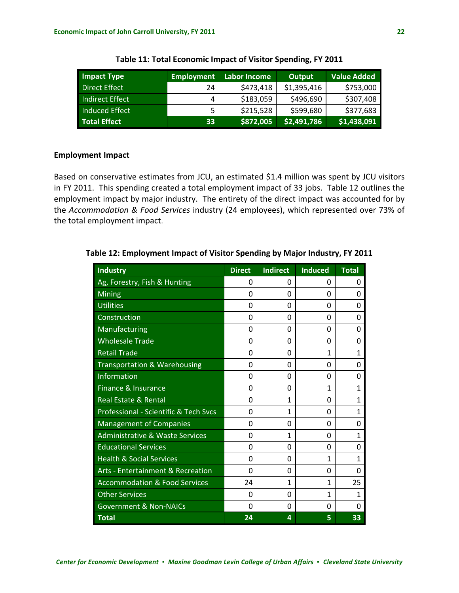<span id="page-30-0"></span>

| <b>Impact Type</b>     | <b>Employment</b> | Labor Income | Output      | <b>Value Added</b> |
|------------------------|-------------------|--------------|-------------|--------------------|
| Direct Effect          | 24                | \$473,418    | \$1,395,416 | \$753,000          |
| <b>Indirect Effect</b> | 4                 | \$183,059    | \$496,690   | \$307,408          |
| Induced Effect         | 5                 | \$215,528    | \$599,680   | \$377,683          |
| <b>Total Effect</b>    | 33                | \$872,005    | \$2,491,786 | \$1,438,091        |

**Table 11: Total Economic Impact of Visitor Spending, FY 2011**

### **Employment Impact**

Based on conservative estimates from JCU, an estimated \$1.4 million was spent by JCU visitors in FY 2011. This spending created a total employment impact of 33 jobs. Table 12 outlines the employment impact by major industry. The entirety of the direct impact was accounted for by the *Accommodation & Food Services* industry (24 employees), which represented over 73% of the total employment impact.

| <b>Industry</b>                              | <b>Direct</b> | <b>Indirect</b> | <b>Induced</b> | <b>Total</b> |
|----------------------------------------------|---------------|-----------------|----------------|--------------|
| Ag, Forestry, Fish & Hunting                 | 0             | 0               | 0              | 0            |
| <b>Mining</b>                                | 0             | 0               | $\Omega$       | 0            |
| <b>Utilities</b>                             | $\Omega$      | 0               | 0              | 0            |
| Construction                                 | 0             | $\Omega$        | $\Omega$       | 0            |
| <b>Manufacturing</b>                         | 0             | 0               | $\Omega$       | 0            |
| <b>Wholesale Trade</b>                       | 0             | 0               | 0              | 0            |
| <b>Retail Trade</b>                          | $\Omega$      | $\Omega$        | 1              | 1            |
| Transportation & Warehousing                 | 0             | 0               | $\Omega$       | O            |
| <b>Information</b>                           | 0             | 0               | 0              | 0            |
| Finance & Insurance                          | 0             | 0               | 1              | 1            |
| <b>Real Estate &amp; Rental</b>              | 0             | 1               | 0              | 1            |
| Professional - Scientific & Tech Svcs        | O             | 1               | $\Omega$       | 1            |
| <b>Management of Companies</b>               | 0             | 0               | $\Omega$       | 0            |
| <b>Administrative &amp; Waste Services</b>   | 0             | $\mathbf{1}$    | 0              | 1            |
| <b>Educational Services</b>                  | 0             | 0               | $\Omega$       | 0            |
| <b>Health &amp; Social Services</b>          | 0             | 0               | 1              | 1            |
| <b>Arts - Entertainment &amp; Recreation</b> | $\Omega$      | $\Omega$        | $\Omega$       | 0            |
| <b>Accommodation &amp; Food Services</b>     | 24            | 1               | 1              | 25           |
| <b>Other Services</b>                        | 0             | 0               | 1              | 1            |
| <b>Government &amp; Non-NAICs</b>            | 0             | 0               | 0              | O            |
| <b>Total</b>                                 | 24            | 4               | 5              | 33           |

**Table 12: Employment Impact of Visitor Spending by Major Industry, FY 2011**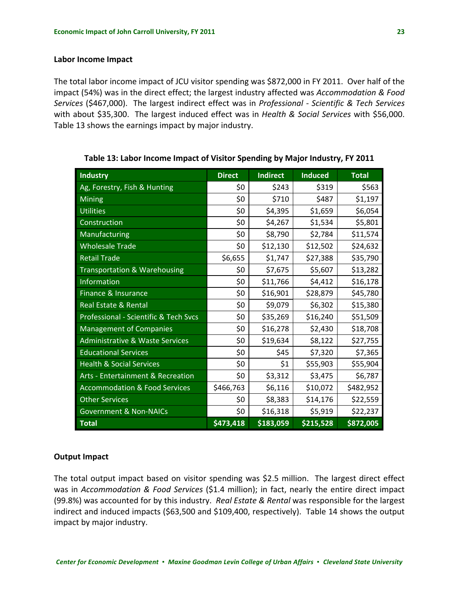#### <span id="page-31-0"></span>**Labor Income Impact**

The total labor income impact of JCU visitor spending was \$872,000 in FY 2011. Over half of the impact (54%) was in the direct effect; the largest industry affected was *Accommodation & Food Services* (\$467,000). The largest indirect effect was in *Professional ‐ Scientific & Tech Services* with about \$35,300. The largest induced effect was in *Health & Social Services* with \$56,000. Table 13 shows the earnings impact by major industry.

**Industry Direct Indirect Induced Total** Ag, Forestry, Fish & Hunting  $\begin{array}{c|c} \text{Ag, Forestry, Fish & Hunting} & \text{S11} & \text{S243} & \text{S319} & \text{S563} \\ \end{array}$ Mining \$0 \$710 \$487 \$1,197 Utilities \$0 \$4,395 \$1,659 \$6,054 Construction \$0 \$4,267 \$1,534 \$5,801 Manufacturing \$0 \$8,790 \$2,784 \$11,574 Wholesale Trade  $$0 \mid $12,130 \mid $12,502 \mid $24,632$ Retail Trade \$6,655 \$1,747 \$27,388 \$35,790 Transportation & Warehousing  $\begin{array}{ccc} 50 & 57,675 & 55,607 & 513,282 \end{array}$  $Information$   $$0 | $511,766 | $54,412 | $516,178$ Finance & Insurance \$0 \$16,901 \$28,879 \$45,780 Real Estate & Rental \$0 \$9,079 \$6,302 \$15,380 Professional - Scientific & Tech Svcs  $\begin{vmatrix} 50 & 535,269 & 516,240 \\ 50 & 516,240 & 551,509 \end{vmatrix}$ Management of Companies \$0 \$16,278 \$2,430 \$18,708 Administrative & Waste Services  $\begin{array}{c|c} \n & 50 & 519,634 & 58,122 & 527,755\n\end{array}$ Educational Services  $\begin{array}{ccc} 50 & 545 & 57,320 & 57,365 \end{array}$ Health & Social Services \$0 \$1 \$55,903 \$55,904 Arts ‐ Entertainment & Recreation \$0 \$3,312 \$3,475 \$6,787 Accommodation & Food Services  $\begin{array}{|c|c|c|c|c|c|c|c|c|} \hline \text{56,116} & \text{510,072} & \text{5482,952} \hline \end{array}$ Other Services \$0 \$8,383 \$14,176 \$22,559 Government & Non-NAICs  $$80 \mid $16,318 \mid $5,919 \mid $22,237$ **Total \$473,418 \$183,059 \$215,528 \$872,005**

**Table 13: Labor Income Impact of Visitor Spending by Major Industry, FY 2011**

#### **Output Impact**

The total output impact based on visitor spending was \$2.5 million. The largest direct effect was in *Accommodation & Food Services* (\$1.4 million); in fact, nearly the entire direct impact (99.8%) was accounted for by this industry. *Real Estate & Rental* was responsible for the largest indirect and induced impacts (\$63,500 and \$109,400, respectively). Table 14 shows the output impact by major industry.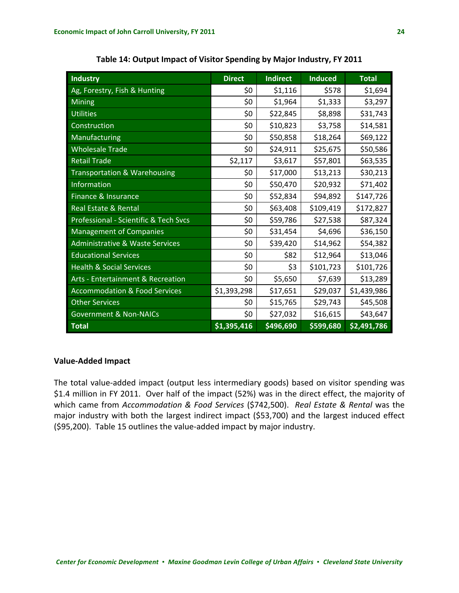<span id="page-32-0"></span>

| <b>Industry</b>                            | <b>Direct</b> | <b>Indirect</b> | <b>Induced</b> | <b>Total</b> |
|--------------------------------------------|---------------|-----------------|----------------|--------------|
| Ag, Forestry, Fish & Hunting               | \$0           | \$1,116         | \$578          | \$1,694      |
| <b>Mining</b>                              | \$0           | \$1,964         | \$1,333        | \$3,297      |
| <b>Utilities</b>                           | \$0           | \$22,845        | \$8,898        | \$31,743     |
| Construction                               | \$0           | \$10,823        | \$3,758        | \$14,581     |
| Manufacturing                              | \$0           | \$50,858        | \$18,264       | \$69,122     |
| <b>Wholesale Trade</b>                     | \$0           | \$24,911        | \$25,675       | \$50,586     |
| <b>Retail Trade</b>                        | \$2,117       | \$3,617         | \$57,801       | \$63,535     |
| Transportation & Warehousing               | \$0           | \$17,000        | \$13,213       | \$30,213     |
| Information                                | \$0           | \$50,470        | \$20,932       | \$71,402     |
| Finance & Insurance                        | \$0           | \$52,834        | \$94,892       | \$147,726    |
| Real Estate & Rental                       | \$0           | \$63,408        | \$109,419      | \$172,827    |
| Professional - Scientific & Tech Svcs      | \$0           | \$59,786        | \$27,538       | \$87,324     |
| <b>Management of Companies</b>             | \$0           | \$31,454        | \$4,696        | \$36,150     |
| <b>Administrative &amp; Waste Services</b> | \$0           | \$39,420        | \$14,962       | \$54,382     |
| <b>Educational Services</b>                | \$0           | \$82            | \$12,964       | \$13,046     |
| <b>Health &amp; Social Services</b>        | \$0           | \$3             | \$101,723      | \$101,726    |
| Arts - Entertainment & Recreation          | \$0           | \$5,650         | \$7,639        | \$13,289     |
| <b>Accommodation &amp; Food Services</b>   | \$1,393,298   | \$17,651        | \$29,037       | \$1,439,986  |
| <b>Other Services</b>                      | \$0           | \$15,765        | \$29,743       | \$45,508     |
| <b>Government &amp; Non-NAICs</b>          | \$0           | \$27,032        | \$16,615       | \$43,647     |
| <b>Total</b>                               | \$1,395,416   | \$496,690       | \$599,680      | \$2,491,786  |

**Table 14: Output Impact of Visitor Spending by Major Industry, FY 2011**

# **Value‐Added Impact**

The total value‐added impact (output less intermediary goods) based on visitor spending was \$1.4 million in FY 2011. Over half of the impact (52%) was in the direct effect, the majority of which came from *Accommodation & Food Services* (\$742,500). *Real Estate & Rental* was the major industry with both the largest indirect impact (\$53,700) and the largest induced effect (\$95,200). Table 15 outlines the value‐added impact by major industry.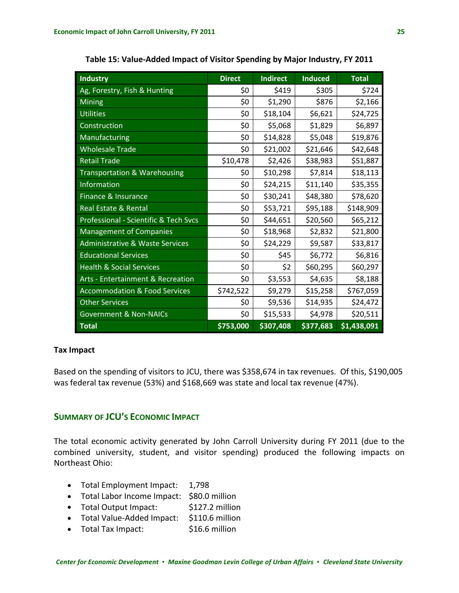| <b>Industry</b>                            | <b>Direct</b> | <b>Indirect</b> | <b>Induced</b> | <b>Total</b> |
|--------------------------------------------|---------------|-----------------|----------------|--------------|
| Ag, Forestry, Fish & Hunting               | \$0           | \$419           | \$305          | \$724        |
| <b>Mining</b>                              | \$0           | \$1,290         | \$876          | \$2,166      |
| <b>Utilities</b>                           | \$0           | \$18,104        | \$6,621        | \$24,725     |
| Construction                               | \$0           | \$5,068         | \$1,829        | \$6,897      |
| Manufacturing                              | \$0           | \$14,828        | \$5,048        | \$19,876     |
| <b>Wholesale Trade</b>                     | \$0           | \$21,002        | \$21,646       | \$42,648     |
| <b>Retail Trade</b>                        | \$10,478      | \$2,426         | \$38,983       | \$51,887     |
| Transportation & Warehousing               | \$0           | \$10,298        | \$7,814        | \$18,113     |
| Information                                | \$0           | \$24,215        | \$11,140       | \$35,355     |
| Finance & Insurance                        | \$0           | \$30,241        | \$48,380       | \$78,620     |
| Real Estate & Rental                       | \$0           | \$53,721        | \$95,188       | \$148,909    |
| Professional - Scientific & Tech Svcs      | \$0           | \$44,651        | \$20,560       | \$65,212     |
| <b>Management of Companies</b>             | \$0           | \$18,968        | \$2,832        | \$21,800     |
| <b>Administrative &amp; Waste Services</b> | \$0           | \$24,229        | \$9,587        | \$33,817     |
| <b>Educational Services</b>                | \$0           | \$45            | \$6,772        | \$6,816      |
| <b>Health &amp; Social Services</b>        | \$0           | \$2             | \$60,295       | \$60,297     |
| Arts - Entertainment & Recreation          | \$0           | \$3,553         | \$4,635        | \$8,188      |
| <b>Accommodation &amp; Food Services</b>   | \$742,522     | \$9,279         | \$15,258       | \$767,059    |
| <b>Other Services</b>                      | \$0           | \$9,536         | \$14,935       | \$24,472     |
| <b>Government &amp; Non-NAICs</b>          | \$0           | \$15,533        | \$4,978        | \$20,511     |
| <b>Total</b>                               | \$753,000     | \$307,408       | \$377,683      | \$1,438,091  |

<span id="page-33-0"></span>**Table 15: Value‐Added Impact of Visitor Spending by Major Industry, FY 2011**

## **Tax Impact**

Based on the spending of visitors to JCU, there was \$358,674 in tax revenues. Of this, \$190,005 was federal tax revenue (53%) and \$168,669 was state and local tax revenue (47%).

# **SUMMARY OF JCU'S ECONOMIC IMPACT**

The total economic activity generated by John Carroll University during FY 2011 (due to the combined university, student, and visitor spending) produced the following impacts on Northeast Ohio:

- Total Employment Impact: 1,798
- Total Labor Income Impact: \$80.0 million
- Total Output Impact: \$127.2 million
- Total Value‐Added Impact: \$110.6 million
- Total Tax Impact: \$16.6 million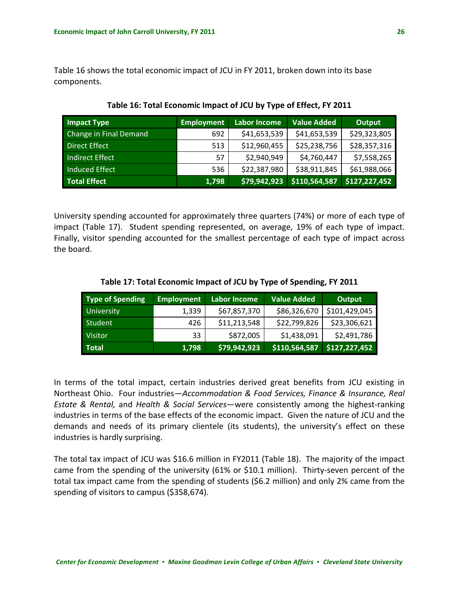<span id="page-34-0"></span>Table 16 shows the total economic impact of JCU in FY 2011, broken down into its base components.

| <b>Impact Type</b>     | <b>Employment</b> | <b>Labor Income</b> | Value Added   | Output        |
|------------------------|-------------------|---------------------|---------------|---------------|
| Change in Final Demand | 692               | \$41,653,539        | \$41,653,539  | \$29,323,805  |
| <b>Direct Effect</b>   | 513               | \$12,960,455        | \$25,238,756  | \$28,357,316  |
| <b>Indirect Effect</b> | 57                | \$2,940,949         | \$4,760,447   | \$7,558,265   |
| <b>Induced Effect</b>  | 536               | \$22,387,980        | \$38,911,845  | \$61,988,066  |
| <b>Total Effect</b>    | 1,798             | \$79,942,923        | \$110,564,587 | \$127,227,452 |

**Table 16: Total Economic Impact of JCU by Type of Effect, FY 2011**

University spending accounted for approximately three quarters (74%) or more of each type of impact (Table 17). Student spending represented, on average, 19% of each type of impact. Finally, visitor spending accounted for the smallest percentage of each type of impact across the board.

| <b>Type of Spending</b> | <b>Employment</b> | <b>Labor Income</b> | <b>Value Added</b> | Output        |
|-------------------------|-------------------|---------------------|--------------------|---------------|
| <b>University</b>       | 1,339             | \$67,857,370        | \$86,326,670       | \$101,429,045 |
| Student                 | 426               | \$11,213,548        | \$22,799,826       | \$23,306,621  |
| <b>Visitor</b>          | 33                | \$872,005           | \$1,438,091        | \$2,491,786   |
| Total                   | 1,798             | \$79,942,923        | 5110,564,587       | \$127,227,452 |

**Table 17: Total Economic Impact of JCU by Type of Spending, FY 2011**

In terms of the total impact, certain industries derived great benefits from JCU existing in Northeast Ohio. Four industries—*Accommodation & Food Services, Finance & Insurance, Real Estate & Rental,* and *Health & Social Services*—were consistently among the highest‐ranking industries in terms of the base effects of the economic impact. Given the nature of JCU and the demands and needs of its primary clientele (its students), the university's effect on these industries is hardly surprising.

The total tax impact of JCU was \$16.6 million in FY2011 (Table 18). The majority of the impact came from the spending of the university (61% or \$10.1 million). Thirty‐seven percent of the total tax impact came from the spending of students (\$6.2 million) and only 2% came from the spending of visitors to campus (\$358,674).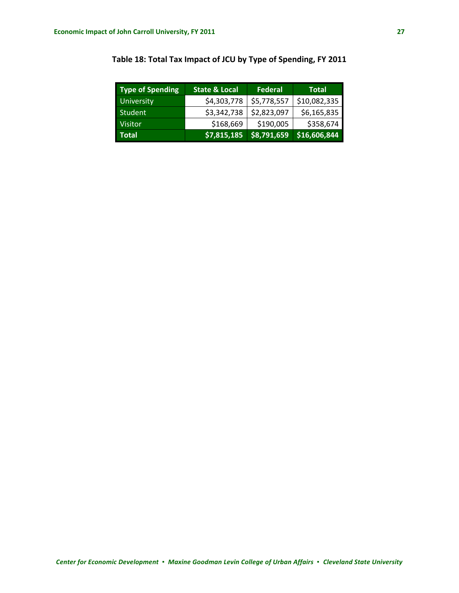| Type of Spending  | <b>State &amp; Local</b> | Federal     | Total        |
|-------------------|--------------------------|-------------|--------------|
| <b>University</b> | \$4,303,778              | \$5,778,557 | \$10,082,335 |
| Student           | \$3,342,738              | \$2,823,097 | \$6,165,835  |
| <b>Visitor</b>    | \$168,669                | \$190,005   | \$358,674    |
| <b>Total</b>      | \$7,815,185              | \$8,791,659 | \$16,606,844 |

# <span id="page-35-0"></span>**Table 18: Total Tax Impact of JCU by Type of Spending, FY 2011**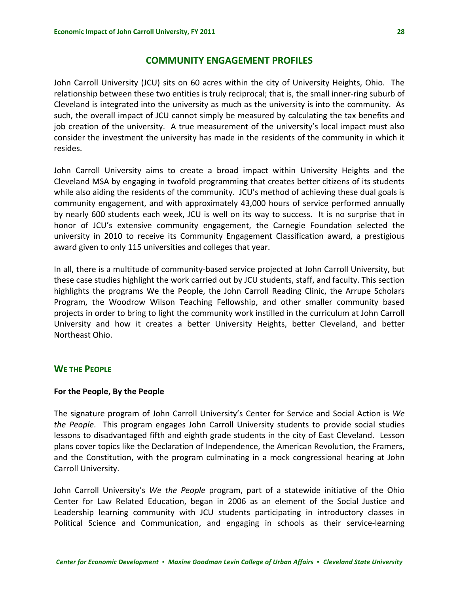# **COMMUNITY ENGAGEMENT PROFILES**

<span id="page-36-0"></span>John Carroll University (JCU) sits on 60 acres within the city of University Heights, Ohio. The relationship between these two entities is truly reciprocal; that is, the small inner-ring suburb of Cleveland is integrated into the university as much as the university is into the community. As such, the overall impact of JCU cannot simply be measured by calculating the tax benefits and job creation of the university. A true measurement of the university's local impact must also consider the investment the university has made in the residents of the community in which it resides.

John Carroll University aims to create a broad impact within University Heights and the Cleveland MSA by engaging in twofold programming that creates better citizens of its students while also aiding the residents of the community. JCU's method of achieving these dual goals is community engagement, and with approximately 43,000 hours of service performed annually by nearly 600 students each week, JCU is well on its way to success. It is no surprise that in honor of JCU's extensive community engagement, the Carnegie Foundation selected the university in 2010 to receive its Community Engagement Classification award, a prestigious award given to only 115 universities and colleges that year.

In all, there is a multitude of community‐based service projected at John Carroll University, but these case studies highlight the work carried out by JCU students, staff, and faculty. This section highlights the programs We the People, the John Carroll Reading Clinic, the Arrupe Scholars Program, the Woodrow Wilson Teaching Fellowship, and other smaller community based projects in order to bring to light the community work instilled in the curriculum at John Carroll University and how it creates a better University Heights, better Cleveland, and better Northeast Ohio.

#### **WE THE PEOPLE**

#### **For the People, By the People**

The signature program of John Carroll University's Center for Service and Social Action is *We the People*. This program engages John Carroll University students to provide social studies lessons to disadvantaged fifth and eighth grade students in the city of East Cleveland. Lesson plans cover topics like the Declaration of Independence, the American Revolution, the Framers, and the Constitution, with the program culminating in a mock congressional hearing at John Carroll University.

John Carroll University's *We the People* program, part of a statewide initiative of the Ohio Center for Law Related Education, began in 2006 as an element of the Social Justice and Leadership learning community with JCU students participating in introductory classes in Political Science and Communication, and engaging in schools as their service‐learning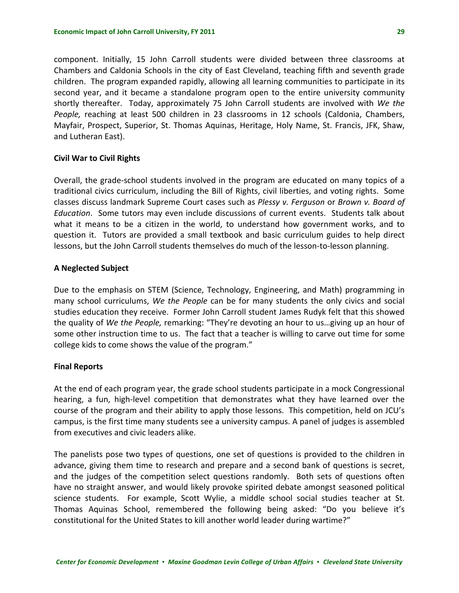component. Initially, 15 John Carroll students were divided between three classrooms at Chambers and Caldonia Schools in the city of East Cleveland, teaching fifth and seventh grade children. The program expanded rapidly, allowing all learning communities to participate in its second year, and it became a standalone program open to the entire university community shortly thereafter. Today, approximately 75 John Carroll students are involved with *We the People,* reaching at least 500 children in 23 classrooms in 12 schools (Caldonia, Chambers, Mayfair, Prospect, Superior, St. Thomas Aquinas, Heritage, Holy Name, St. Francis, JFK, Shaw, and Lutheran East).

#### **Civil War to Civil Rights**

Overall, the grade‐school students involved in the program are educated on many topics of a traditional civics curriculum, including the Bill of Rights, civil liberties, and voting rights. Some classes discuss landmark Supreme Court cases such as *Plessy v. Ferguson* or *Brown v. Board of Education*. Some tutors may even include discussions of current events. Students talk about what it means to be a citizen in the world, to understand how government works, and to question it. Tutors are provided a small textbook and basic curriculum guides to help direct lessons, but the John Carroll students themselves do much of the lesson‐to‐lesson planning.

#### **A Neglected Subject**

Due to the emphasis on STEM (Science, Technology, Engineering, and Math) programming in many school curriculums, *We the People* can be for many students the only civics and social studies education they receive. Former John Carroll student James Rudyk felt that this showed the quality of *We the People,* remarking: "They're devoting an hour to us…giving up an hour of some other instruction time to us. The fact that a teacher is willing to carve out time for some college kids to come shows the value of the program."

#### **Final Reports**

At the end of each program year, the grade school students participate in a mock Congressional hearing, a fun, high-level competition that demonstrates what they have learned over the course of the program and their ability to apply those lessons. This competition, held on JCU's campus, is the first time many students see a university campus. A panel of judges is assembled from executives and civic leaders alike.

The panelists pose two types of questions, one set of questions is provided to the children in advance, giving them time to research and prepare and a second bank of questions is secret, and the judges of the competition select questions randomly. Both sets of questions often have no straight answer, and would likely provoke spirited debate amongst seasoned political science students. For example, Scott Wylie, a middle school social studies teacher at St. Thomas Aquinas School, remembered the following being asked: "Do you believe it's constitutional for the United States to kill another world leader during wartime?"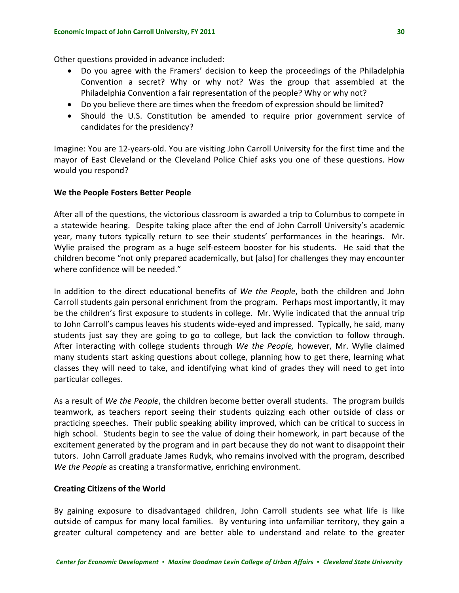Other questions provided in advance included:

- Do you agree with the Framers' decision to keep the proceedings of the Philadelphia Convention a secret? Why or why not? Was the group that assembled at the Philadelphia Convention a fair representation of the people? Why or why not?
- Do you believe there are times when the freedom of expression should be limited?
- Should the U.S. Constitution be amended to require prior government service of candidates for the presidency?

Imagine: You are 12‐years‐old. You are visiting John Carroll University for the first time and the mayor of East Cleveland or the Cleveland Police Chief asks you one of these questions. How would you respond?

#### **We the People Fosters Better People**

After all of the questions, the victorious classroom is awarded a trip to Columbus to compete in a statewide hearing. Despite taking place after the end of John Carroll University's academic year, many tutors typically return to see their students' performances in the hearings. Mr. Wylie praised the program as a huge self-esteem booster for his students. He said that the children become "not only prepared academically, but [also] for challenges they may encounter where confidence will be needed."

In addition to the direct educational benefits of *We the People*, both the children and John Carroll students gain personal enrichment from the program. Perhaps most importantly, it may be the children's first exposure to students in college. Mr. Wylie indicated that the annual trip to John Carroll's campus leaves his students wide‐eyed and impressed. Typically, he said, many students just say they are going to go to college, but lack the conviction to follow through. After interacting with college students through *We the People,* however, Mr. Wylie claimed many students start asking questions about college, planning how to get there, learning what classes they will need to take, and identifying what kind of grades they will need to get into particular colleges.

As a result of *We the People*, the children become better overall students. The program builds teamwork, as teachers report seeing their students quizzing each other outside of class or practicing speeches. Their public speaking ability improved, which can be critical to success in high school. Students begin to see the value of doing their homework, in part because of the excitement generated by the program and in part because they do not want to disappoint their tutors. John Carroll graduate James Rudyk, who remains involved with the program, described *We the People* as creating a transformative, enriching environment.

#### **Creating Citizens of the World**

By gaining exposure to disadvantaged children, John Carroll students see what life is like outside of campus for many local families. By venturing into unfamiliar territory, they gain a greater cultural competency and are better able to understand and relate to the greater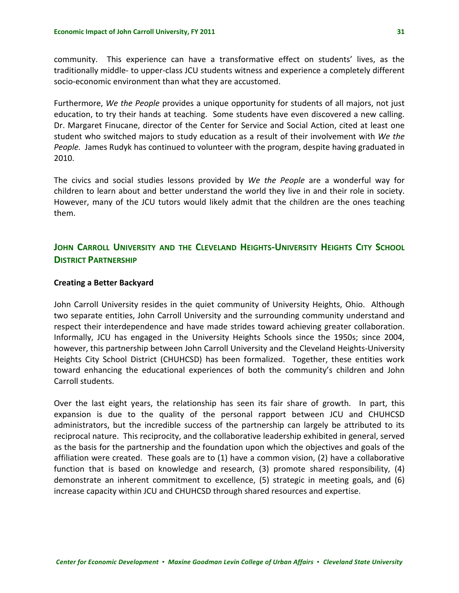<span id="page-39-0"></span>community. This experience can have a transformative effect on students' lives, as the traditionally middle‐ to upper‐class JCU students witness and experience a completely different socio‐economic environment than what they are accustomed.

Furthermore, *We the People* provides a unique opportunity for students of all majors, not just education, to try their hands at teaching. Some students have even discovered a new calling. Dr. Margaret Finucane, director of the Center for Service and Social Action, cited at least one student who switched majors to study education as a result of their involvement with *We the People.* James Rudyk has continued to volunteer with the program, despite having graduated in 2010.

The civics and social studies lessons provided by *We the People* are a wonderful way for children to learn about and better understand the world they live in and their role in society. However, many of the JCU tutors would likely admit that the children are the ones teaching them.

# **JOHN CARROLL UNIVERSITY AND THE CLEVELAND HEIGHTS‐UNIVERSITY HEIGHTS CITY SCHOOL DISTRICT PARTNERSHIP**

#### **Creating a Better Backyard**

John Carroll University resides in the quiet community of University Heights, Ohio. Although two separate entities, John Carroll University and the surrounding community understand and respect their interdependence and have made strides toward achieving greater collaboration. Informally, JCU has engaged in the University Heights Schools since the 1950s; since 2004, however, this partnership between John Carroll University and the Cleveland Heights‐University Heights City School District (CHUHCSD) has been formalized. Together, these entities work toward enhancing the educational experiences of both the community's children and John Carroll students.

Over the last eight years, the relationship has seen its fair share of growth. In part, this expansion is due to the quality of the personal rapport between JCU and CHUHCSD administrators, but the incredible success of the partnership can largely be attributed to its reciprocal nature. This reciprocity, and the collaborative leadership exhibited in general, served as the basis for the partnership and the foundation upon which the objectives and goals of the affiliation were created. These goals are to (1) have a common vision, (2) have a collaborative function that is based on knowledge and research, (3) promote shared responsibility, (4) demonstrate an inherent commitment to excellence, (5) strategic in meeting goals, and (6) increase capacity within JCU and CHUHCSD through shared resources and expertise.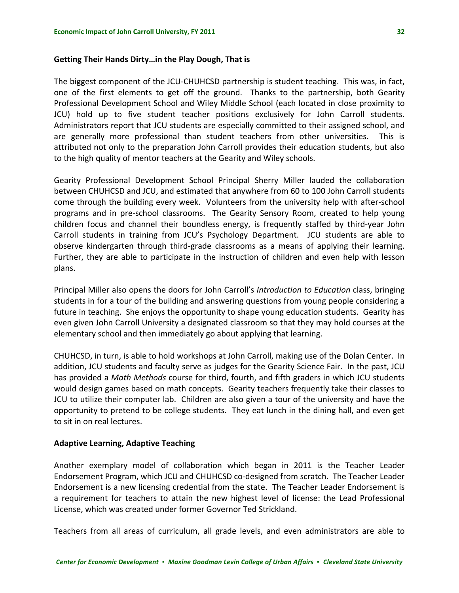#### **Getting Their Hands Dirty…in the Play Dough, That is**

The biggest component of the JCU-CHUHCSD partnership is student teaching. This was, in fact, one of the first elements to get off the ground. Thanks to the partnership, both Gearity Professional Development School and Wiley Middle School (each located in close proximity to JCU) hold up to five student teacher positions exclusively for John Carroll students. Administrators report that JCU students are especially committed to their assigned school, and are generally more professional than student teachers from other universities. This is attributed not only to the preparation John Carroll provides their education students, but also to the high quality of mentor teachers at the Gearity and Wiley schools.

Gearity Professional Development School Principal Sherry Miller lauded the collaboration between CHUHCSD and JCU, and estimated that anywhere from 60 to 100 John Carroll students come through the building every week. Volunteers from the university help with after‐school programs and in pre-school classrooms. The Gearity Sensory Room, created to help young children focus and channel their boundless energy, is frequently staffed by third‐year John Carroll students in training from JCU's Psychology Department. JCU students are able to observe kindergarten through third‐grade classrooms as a means of applying their learning. Further, they are able to participate in the instruction of children and even help with lesson plans.

Principal Miller also opens the doors for John Carroll's *Introduction to Education* class, bringing students in for a tour of the building and answering questions from young people considering a future in teaching. She enjoys the opportunity to shape young education students. Gearity has even given John Carroll University a designated classroom so that they may hold courses at the elementary school and then immediately go about applying that learning.

CHUHCSD, in turn, is able to hold workshops at John Carroll, making use of the Dolan Center. In addition, JCU students and faculty serve as judges for the Gearity Science Fair. In the past, JCU has provided a *Math Methods* course for third, fourth, and fifth graders in which JCU students would design games based on math concepts. Gearity teachers frequently take their classes to JCU to utilize their computer lab. Children are also given a tour of the university and have the opportunity to pretend to be college students. They eat lunch in the dining hall, and even get to sit in on real lectures.

#### **Adaptive Learning, Adaptive Teaching**

Another exemplary model of collaboration which began in 2011 is the Teacher Leader Endorsement Program, which JCU and CHUHCSD co‐designed from scratch. The Teacher Leader Endorsement is a new licensing credential from the state. The Teacher Leader Endorsement is a requirement for teachers to attain the new highest level of license: the Lead Professional License, which was created under former Governor Ted Strickland.

Teachers from all areas of curriculum, all grade levels, and even administrators are able to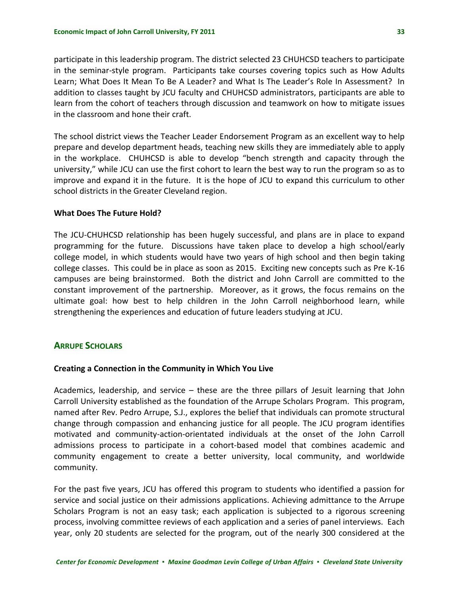<span id="page-41-0"></span>participate in this leadership program. The district selected 23 CHUHCSD teachers to participate in the seminar-style program. Participants take courses covering topics such as How Adults Learn; What Does It Mean To Be A Leader? and What Is The Leader's Role In Assessment? In addition to classes taught by JCU faculty and CHUHCSD administrators, participants are able to learn from the cohort of teachers through discussion and teamwork on how to mitigate issues in the classroom and hone their craft.

The school district views the Teacher Leader Endorsement Program as an excellent way to help prepare and develop department heads, teaching new skills they are immediately able to apply in the workplace. CHUHCSD is able to develop "bench strength and capacity through the university," while JCU can use the first cohort to learn the best way to run the program so as to improve and expand it in the future. It is the hope of JCU to expand this curriculum to other school districts in the Greater Cleveland region.

#### **What Does The Future Hold?**

The JCU-CHUHCSD relationship has been hugely successful, and plans are in place to expand programming for the future. Discussions have taken place to develop a high school/early college model, in which students would have two years of high school and then begin taking college classes. This could be in place as soon as 2015. Exciting new concepts such as Pre K‐16 campuses are being brainstormed. Both the district and John Carroll are committed to the constant improvement of the partnership. Moreover, as it grows, the focus remains on the ultimate goal: how best to help children in the John Carroll neighborhood learn, while strengthening the experiences and education of future leaders studying at JCU.

## **ARRUPE SCHOLARS**

#### **Creating a Connection in the Community in Which You Live**

Academics, leadership, and service – these are the three pillars of Jesuit learning that John Carroll University established as the foundation of the Arrupe Scholars Program. This program, named after Rev. Pedro Arrupe, S.J., explores the belief that individuals can promote structural change through compassion and enhancing justice for all people. The JCU program identifies motivated and community‐action‐orientated individuals at the onset of the John Carroll admissions process to participate in a cohort‐based model that combines academic and community engagement to create a better university, local community, and worldwide community.

For the past five years, JCU has offered this program to students who identified a passion for service and social justice on their admissions applications. Achieving admittance to the Arrupe Scholars Program is not an easy task; each application is subjected to a rigorous screening process, involving committee reviews of each application and a series of panel interviews. Each year, only 20 students are selected for the program, out of the nearly 300 considered at the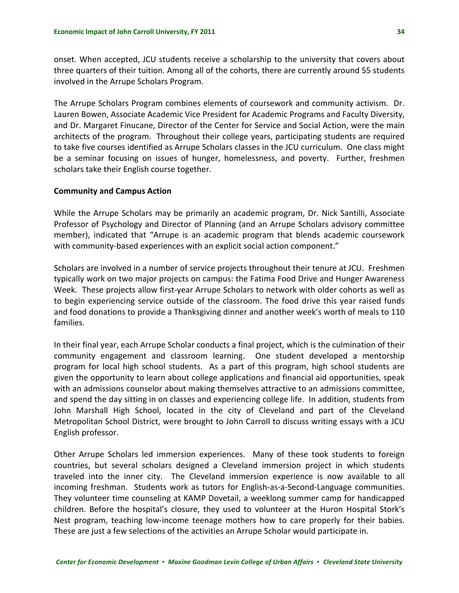onset. When accepted, JCU students receive a scholarship to the university that covers about three quarters of their tuition. Among all of the cohorts, there are currently around 55 students involved in the Arrupe Scholars Program.

The Arrupe Scholars Program combines elements of coursework and community activism. Dr. Lauren Bowen, Associate Academic Vice President for Academic Programs and Faculty Diversity, and Dr. Margaret Finucane, Director of the Center for Service and Social Action, were the main architects of the program. Throughout their college years, participating students are required to take five courses identified as Arrupe Scholars classes in the JCU curriculum. One class might be a seminar focusing on issues of hunger, homelessness, and poverty. Further, freshmen scholars take their English course together.

#### **Community and Campus Action**

While the Arrupe Scholars may be primarily an academic program, Dr. Nick Santilli, Associate Professor of Psychology and Director of Planning (and an Arrupe Scholars advisory committee member), indicated that "Arrupe is an academic program that blends academic coursework with community-based experiences with an explicit social action component."

Scholars are involved in a number of service projects throughout their tenure at JCU. Freshmen typically work on two major projects on campus: the Fatima Food Drive and Hunger Awareness Week. These projects allow first-year Arrupe Scholars to network with older cohorts as well as to begin experiencing service outside of the classroom. The food drive this year raised funds and food donations to provide a Thanksgiving dinner and another week's worth of meals to 110 families.

In their final year, each Arrupe Scholar conducts a final project, which is the culmination of their community engagement and classroom learning. One student developed a mentorship program for local high school students. As a part of this program, high school students are given the opportunity to learn about college applications and financial aid opportunities, speak with an admissions counselor about making themselves attractive to an admissions committee, and spend the day sitting in on classes and experiencing college life. In addition, students from John Marshall High School, located in the city of Cleveland and part of the Cleveland Metropolitan School District, were brought to John Carroll to discuss writing essays with a JCU English professor.

Other Arrupe Scholars led immersion experiences. Many of these took students to foreign countries, but several scholars designed a Cleveland immersion project in which students traveled into the inner city. The Cleveland immersion experience is now available to all incoming freshman. Students work as tutors for English-as-a-Second-Language communities. They volunteer time counseling at KAMP Dovetail, a weeklong summer camp for handicapped children. Before the hospital's closure, they used to volunteer at the Huron Hospital Stork's Nest program, teaching low‐income teenage mothers how to care properly for their babies. These are just a few selections of the activities an Arrupe Scholar would participate in.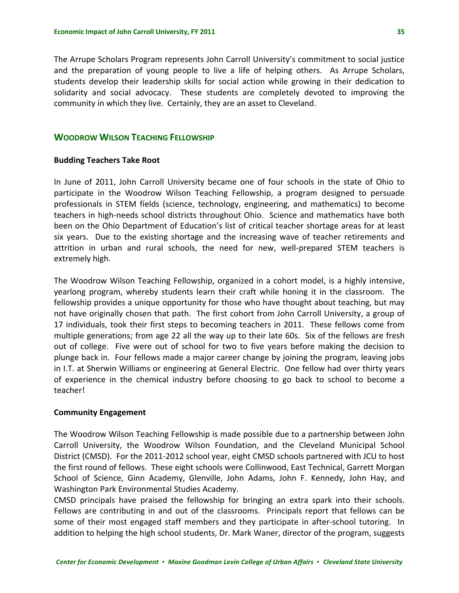<span id="page-43-0"></span>The Arrupe Scholars Program represents John Carroll University's commitment to social justice and the preparation of young people to live a life of helping others. As Arrupe Scholars, students develop their leadership skills for social action while growing in their dedication to solidarity and social advocacy. These students are completely devoted to improving the community in which they live. Certainly, they are an asset to Cleveland.

# **WOODROW WILSON TEACHING FELLOWSHIP**

#### **Budding Teachers Take Root**

In June of 2011, John Carroll University became one of four schools in the state of Ohio to participate in the Woodrow Wilson Teaching Fellowship, a program designed to persuade professionals in STEM fields (science, technology, engineering, and mathematics) to become teachers in high‐needs school districts throughout Ohio. Science and mathematics have both been on the Ohio Department of Education's list of critical teacher shortage areas for at least six years. Due to the existing shortage and the increasing wave of teacher retirements and attrition in urban and rural schools, the need for new, well-prepared STEM teachers is extremely high.

The Woodrow Wilson Teaching Fellowship, organized in a cohort model, is a highly intensive, yearlong program, whereby students learn their craft while honing it in the classroom. The fellowship provides a unique opportunity for those who have thought about teaching, but may not have originally chosen that path. The first cohort from John Carroll University, a group of 17 individuals, took their first steps to becoming teachers in 2011. These fellows come from multiple generations; from age 22 all the way up to their late 60s. Six of the fellows are fresh out of college. Five were out of school for two to five years before making the decision to plunge back in. Four fellows made a major career change by joining the program, leaving jobs in I.T. at Sherwin Williams or engineering at General Electric. One fellow had over thirty years of experience in the chemical industry before choosing to go back to school to become a teacher!

#### **Community Engagement**

The Woodrow Wilson Teaching Fellowship is made possible due to a partnership between John Carroll University, the Woodrow Wilson Foundation, and the Cleveland Municipal School District (CMSD). For the 2011‐2012 school year, eight CMSD schools partnered with JCU to host the first round of fellows. These eight schools were Collinwood, East Technical, Garrett Morgan School of Science, Ginn Academy, Glenville, John Adams, John F. Kennedy, John Hay, and Washington Park Environmental Studies Academy.

CMSD principals have praised the fellowship for bringing an extra spark into their schools. Fellows are contributing in and out of the classrooms. Principals report that fellows can be some of their most engaged staff members and they participate in after-school tutoring. In addition to helping the high school students, Dr. Mark Waner, director of the program, suggests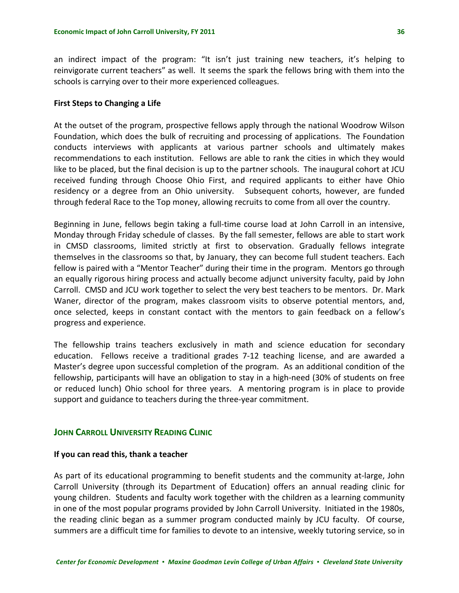<span id="page-44-0"></span>an indirect impact of the program: "It isn't just training new teachers, it's helping to reinvigorate current teachers" as well. It seems the spark the fellows bring with them into the schools is carrying over to their more experienced colleagues.

#### **First Steps to Changing a Life**

At the outset of the program, prospective fellows apply through the national Woodrow Wilson Foundation, which does the bulk of recruiting and processing of applications. The Foundation conducts interviews with applicants at various partner schools and ultimately makes recommendations to each institution. Fellows are able to rank the cities in which they would like to be placed, but the final decision is up to the partner schools. The inaugural cohort at JCU received funding through Choose Ohio First, and required applicants to either have Ohio residency or a degree from an Ohio university. Subsequent cohorts, however, are funded through federal Race to the Top money, allowing recruits to come from all over the country.

Beginning in June, fellows begin taking a full‐time course load at John Carroll in an intensive, Monday through Friday schedule of classes. By the fall semester, fellows are able to start work in CMSD classrooms, limited strictly at first to observation. Gradually fellows integrate themselves in the classrooms so that, by January, they can become full student teachers. Each fellow is paired with a "Mentor Teacher" during their time in the program. Mentors go through an equally rigorous hiring process and actually become adjunct university faculty, paid by John Carroll. CMSD and JCU work together to select the very best teachers to be mentors. Dr. Mark Waner, director of the program, makes classroom visits to observe potential mentors, and, once selected, keeps in constant contact with the mentors to gain feedback on a fellow's progress and experience.

The fellowship trains teachers exclusively in math and science education for secondary education. Fellows receive a traditional grades 7‐12 teaching license, and are awarded a Master's degree upon successful completion of the program. As an additional condition of the fellowship, participants will have an obligation to stay in a high-need (30% of students on free or reduced lunch) Ohio school for three years. A mentoring program is in place to provide support and guidance to teachers during the three‐year commitment.

# **JOHN CARROLL UNIVERSITY READING CLINIC**

#### **If you can read this, thank a teacher**

As part of its educational programming to benefit students and the community at‐large, John Carroll University (through its Department of Education) offers an annual reading clinic for young children. Students and faculty work together with the children as a learning community in one of the most popular programs provided by John Carroll University. Initiated in the 1980s, the reading clinic began as a summer program conducted mainly by JCU faculty. Of course, summers are a difficult time for families to devote to an intensive, weekly tutoring service, so in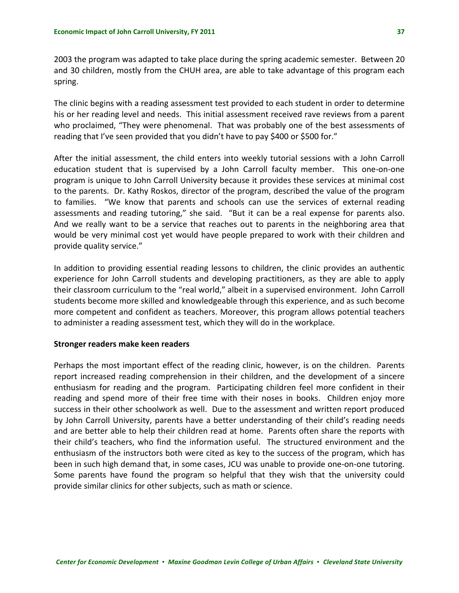2003 the program was adapted to take place during the spring academic semester. Between 20 and 30 children, mostly from the CHUH area, are able to take advantage of this program each spring.

The clinic begins with a reading assessment test provided to each student in order to determine his or her reading level and needs. This initial assessment received rave reviews from a parent who proclaimed, "They were phenomenal. That was probably one of the best assessments of reading that I've seen provided that you didn't have to pay \$400 or \$500 for."

After the initial assessment, the child enters into weekly tutorial sessions with a John Carroll education student that is supervised by a John Carroll faculty member. This one-on-one program is unique to John Carroll University because it provides these services at minimal cost to the parents. Dr. Kathy Roskos, director of the program, described the value of the program to families. "We know that parents and schools can use the services of external reading assessments and reading tutoring," she said. "But it can be a real expense for parents also. And we really want to be a service that reaches out to parents in the neighboring area that would be very minimal cost yet would have people prepared to work with their children and provide quality service."

In addition to providing essential reading lessons to children, the clinic provides an authentic experience for John Carroll students and developing practitioners, as they are able to apply their classroom curriculum to the "real world," albeit in a supervised environment. John Carroll students become more skilled and knowledgeable through this experience, and as such become more competent and confident as teachers. Moreover, this program allows potential teachers to administer a reading assessment test, which they will do in the workplace.

#### **Stronger readers make keen readers**

Perhaps the most important effect of the reading clinic, however, is on the children. Parents report increased reading comprehension in their children, and the development of a sincere enthusiasm for reading and the program. Participating children feel more confident in their reading and spend more of their free time with their noses in books. Children enjoy more success in their other schoolwork as well. Due to the assessment and written report produced by John Carroll University, parents have a better understanding of their child's reading needs and are better able to help their children read at home. Parents often share the reports with their child's teachers, who find the information useful. The structured environment and the enthusiasm of the instructors both were cited as key to the success of the program, which has been in such high demand that, in some cases, JCU was unable to provide one‐on‐one tutoring. Some parents have found the program so helpful that they wish that the university could provide similar clinics for other subjects, such as math or science.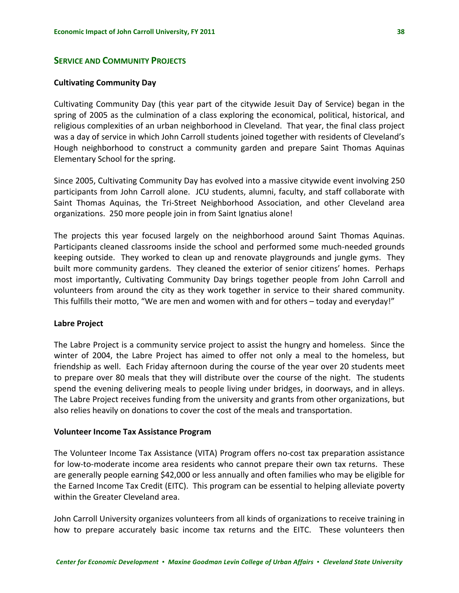## <span id="page-46-0"></span>**SERVICE AND COMMUNITY PROJECTS**

#### **Cultivating Community Day**

Cultivating Community Day (this year part of the citywide Jesuit Day of Service) began in the spring of 2005 as the culmination of a class exploring the economical, political, historical, and religious complexities of an urban neighborhood in Cleveland. That year, the final class project was a day of service in which John Carroll students joined together with residents of Cleveland's Hough neighborhood to construct a community garden and prepare Saint Thomas Aquinas Elementary School for the spring.

Since 2005, Cultivating Community Day has evolved into a massive citywide event involving 250 participants from John Carroll alone. JCU students, alumni, faculty, and staff collaborate with Saint Thomas Aquinas, the Tri‐Street Neighborhood Association, and other Cleveland area organizations. 250 more people join in from Saint Ignatius alone!

The projects this year focused largely on the neighborhood around Saint Thomas Aquinas. Participants cleaned classrooms inside the school and performed some much-needed grounds keeping outside. They worked to clean up and renovate playgrounds and jungle gyms. They built more community gardens. They cleaned the exterior of senior citizens' homes. Perhaps most importantly, Cultivating Community Day brings together people from John Carroll and volunteers from around the city as they work together in service to their shared community. This fulfills their motto, "We are men and women with and for others – today and everyday!"

#### **Labre Project**

The Labre Project is a community service project to assist the hungry and homeless. Since the winter of 2004, the Labre Project has aimed to offer not only a meal to the homeless, but friendship as well. Each Friday afternoon during the course of the year over 20 students meet to prepare over 80 meals that they will distribute over the course of the night. The students spend the evening delivering meals to people living under bridges, in doorways, and in alleys. The Labre Project receives funding from the university and grants from other organizations, but also relies heavily on donations to cover the cost of the meals and transportation.

#### **Volunteer Income Tax Assistance Program**

The Volunteer Income Tax Assistance (VITA) Program offers no‐cost tax preparation assistance for low-to-moderate income area residents who cannot prepare their own tax returns. These are generally people earning \$42,000 or less annually and often families who may be eligible for the Earned Income Tax Credit (EITC). This program can be essential to helping alleviate poverty within the Greater Cleveland area.

John Carroll University organizes volunteers from all kinds of organizations to receive training in how to prepare accurately basic income tax returns and the EITC. These volunteers then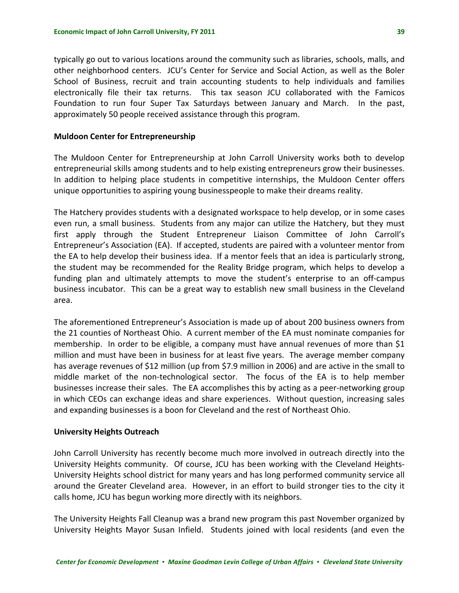typically go out to various locations around the community such as libraries, schools, malls, and other neighborhood centers. JCU's Center for Service and Social Action, as well as the Boler School of Business, recruit and train accounting students to help individuals and families electronically file their tax returns. This tax season JCU collaborated with the Famicos Foundation to run four Super Tax Saturdays between January and March. In the past, approximately 50 people received assistance through this program.

#### **Muldoon Center for Entrepreneurship**

The Muldoon Center for Entrepreneurship at John Carroll University works both to develop entrepreneurial skills among students and to help existing entrepreneurs grow their businesses. In addition to helping place students in competitive internships, the Muldoon Center offers unique opportunities to aspiring young businesspeople to make their dreams reality.

The Hatchery provides students with a designated workspace to help develop, or in some cases even run, a small business. Students from any major can utilize the Hatchery, but they must first apply through the Student Entrepreneur Liaison Committee of John Carroll's Entrepreneur's Association (EA). If accepted, students are paired with a volunteer mentor from the EA to help develop their business idea. If a mentor feels that an idea is particularly strong, the student may be recommended for the Reality Bridge program, which helps to develop a funding plan and ultimately attempts to move the student's enterprise to an off-campus business incubator. This can be a great way to establish new small business in the Cleveland area.

The aforementioned Entrepreneur's Association is made up of about 200 business owners from the 21 counties of Northeast Ohio. A current member of the EA must nominate companies for membership. In order to be eligible, a company must have annual revenues of more than \$1 million and must have been in business for at least five years. The average member company has average revenues of \$12 million (up from \$7.9 million in 2006) and are active in the small to middle market of the non-technological sector. The focus of the EA is to help member businesses increase their sales. The EA accomplishes this by acting as a peer-networking group in which CEOs can exchange ideas and share experiences. Without question, increasing sales and expanding businesses is a boon for Cleveland and the rest of Northeast Ohio.

## **University Heights Outreach**

John Carroll University has recently become much more involved in outreach directly into the University Heights community. Of course, JCU has been working with the Cleveland Heights‐ University Heights school district for many years and has long performed community service all around the Greater Cleveland area. However, in an effort to build stronger ties to the city it calls home, JCU has begun working more directly with its neighbors.

The University Heights Fall Cleanup was a brand new program this past November organized by University Heights Mayor Susan Infield. Students joined with local residents (and even the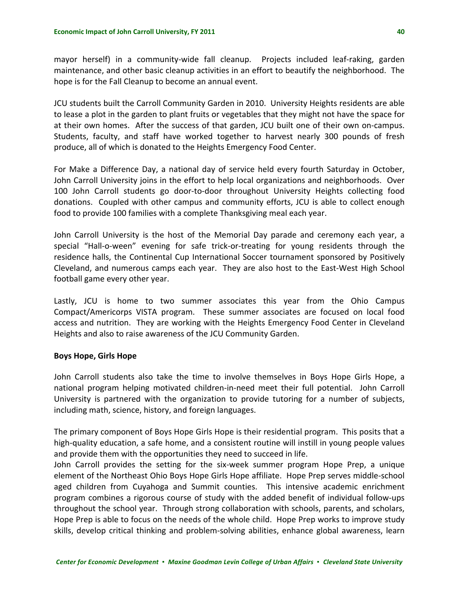mayor herself) in a community-wide fall cleanup. Projects included leaf-raking, garden maintenance, and other basic cleanup activities in an effort to beautify the neighborhood. The hope is for the Fall Cleanup to become an annual event.

JCU students built the Carroll Community Garden in 2010. University Heights residents are able to lease a plot in the garden to plant fruits or vegetables that they might not have the space for at their own homes. After the success of that garden, JCU built one of their own on‐campus. Students, faculty, and staff have worked together to harvest nearly 300 pounds of fresh produce, all of which is donated to the Heights Emergency Food Center.

For Make a Difference Day, a national day of service held every fourth Saturday in October, John Carroll University joins in the effort to help local organizations and neighborhoods. Over 100 John Carroll students go door‐to‐door throughout University Heights collecting food donations. Coupled with other campus and community efforts, JCU is able to collect enough food to provide 100 families with a complete Thanksgiving meal each year.

John Carroll University is the host of the Memorial Day parade and ceremony each year, a special "Hall-o-ween" evening for safe trick-or-treating for young residents through the residence halls, the Continental Cup International Soccer tournament sponsored by Positively Cleveland, and numerous camps each year. They are also host to the East‐West High School football game every other year.

Lastly, JCU is home to two summer associates this year from the Ohio Campus Compact/Americorps VISTA program. These summer associates are focused on local food access and nutrition. They are working with the Heights Emergency Food Center in Cleveland Heights and also to raise awareness of the JCU Community Garden.

#### **Boys Hope, Girls Hope**

John Carroll students also take the time to involve themselves in Boys Hope Girls Hope, a national program helping motivated children-in-need meet their full potential. John Carroll University is partnered with the organization to provide tutoring for a number of subjects, including math, science, history, and foreign languages.

The primary component of Boys Hope Girls Hope is their residential program. This posits that a high-quality education, a safe home, and a consistent routine will instill in young people values and provide them with the opportunities they need to succeed in life.

John Carroll provides the setting for the six-week summer program Hope Prep, a unique element of the Northeast Ohio Boys Hope Girls Hope affiliate. Hope Prep serves middle‐school aged children from Cuyahoga and Summit counties. This intensive academic enrichment program combines a rigorous course of study with the added benefit of individual follow‐ups throughout the school year. Through strong collaboration with schools, parents, and scholars, Hope Prep is able to focus on the needs of the whole child. Hope Prep works to improve study skills, develop critical thinking and problem‐solving abilities, enhance global awareness, learn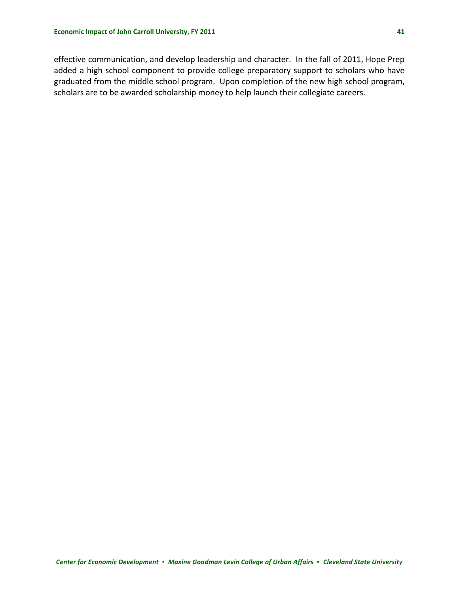effective communication, and develop leadership and character. In the fall of 2011, Hope Prep added a high school component to provide college preparatory support to scholars who have graduated from the middle school program. Upon completion of the new high school program, scholars are to be awarded scholarship money to help launch their collegiate careers.